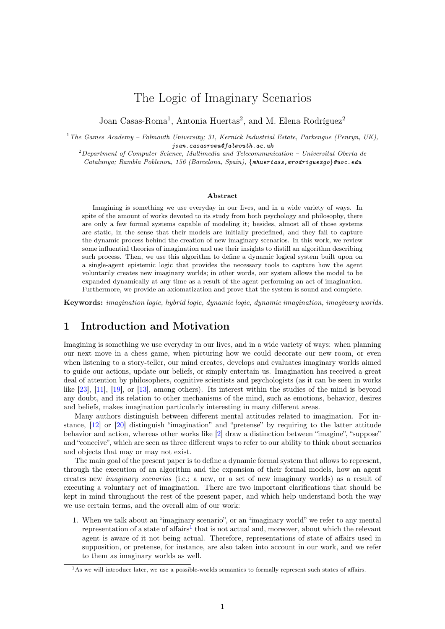# The Logic of Imaginary Scenarios

Joan Casas-Roma<sup>1</sup>, Antonia Huertas<sup>2</sup>, and M. Elena Rodríguez<sup>2</sup>

 $1$ <sup>T</sup>he Games Academy – Falmouth University; 31, Kernick Industrial Estate, Parkengue (Penryn, UK), joan.casasroma@falmouth.ac.uk

 $2$ Department of Computer Science, Multimedia and Telecommunication – Universitat Oberta de Catalunya; Rambla Poblenou, 156 (Barcelona, Spain), {mhuertass,mrodriguezgo}@uoc.edu

### Abstract

Imagining is something we use everyday in our lives, and in a wide variety of ways. In spite of the amount of works devoted to its study from both psychology and philosophy, there are only a few formal systems capable of modeling it; besides, almost all of those systems are static, in the sense that their models are initially predefined, and they fail to capture the dynamic process behind the creation of new imaginary scenarios. In this work, we review some influential theories of imagination and use their insights to distill an algorithm describing such process. Then, we use this algorithm to define a dynamic logical system built upon on a single-agent epistemic logic that provides the necessary tools to capture how the agent voluntarily creates new imaginary worlds; in other words, our system allows the model to be expanded dynamically at any time as a result of the agent performing an act of imagination. Furthermore, we provide an axiomatization and prove that the system is sound and complete.

Keywords: imagination logic, hybrid logic, dynamic logic, dynamic imagination, imaginary worlds.

## 1 Introduction and Motivation

Imagining is something we use everyday in our lives, and in a wide variety of ways: when planning our next move in a chess game, when picturing how we could decorate our new room, or even when listening to a story-teller, our mind creates, develops and evaluates imaginary worlds aimed to guide our actions, update our beliefs, or simply entertain us. Imagination has received a great deal of attention by philosophers, cognitive scientists and psychologists (as it can be seen in works like [\[23\]](#page-22-0), [\[11\]](#page-21-0), [\[19\]](#page-22-1), or [\[13\]](#page-22-2), among others). Its interest within the studies of the mind is beyond any doubt, and its relation to other mechanisms of the mind, such as emotions, behavior, desires and beliefs, makes imagination particularly interesting in many different areas.

Many authors distinguish between different mental attitudes related to imagination. For instance, [\[12\]](#page-22-3) or [\[20\]](#page-22-4) distinguish "imagination" and "pretense" by requiring to the latter attitude behavior and action, whereas other works like [\[2\]](#page-21-1) draw a distinction between "imagine", "suppose" and "conceive", which are seen as three different ways to refer to our ability to think about scenarios and objects that may or may not exist.

The main goal of the present paper is to define a dynamic formal system that allows to represent, through the execution of an algorithm and the expansion of their formal models, how an agent creates new imaginary scenarios (i.e.; a new, or a set of new imaginary worlds) as a result of executing a voluntary act of imagination. There are two important clarifications that should be kept in mind throughout the rest of the present paper, and which help understand both the way we use certain terms, and the overall aim of our work:

1. When we talk about an "imaginary scenario", or an "imaginary world" we refer to any mental representation of a state of affairs<sup>[1](#page-0-0)</sup> that is not actual and, moreover, about which the relevant agent is aware of it not being actual. Therefore, representations of state of affairs used in supposition, or pretense, for instance, are also taken into account in our work, and we refer to them as imaginary worlds as well.

<span id="page-0-0"></span><sup>1</sup>As we will introduce later, we use a possible-worlds semantics to formally represent such states of affairs.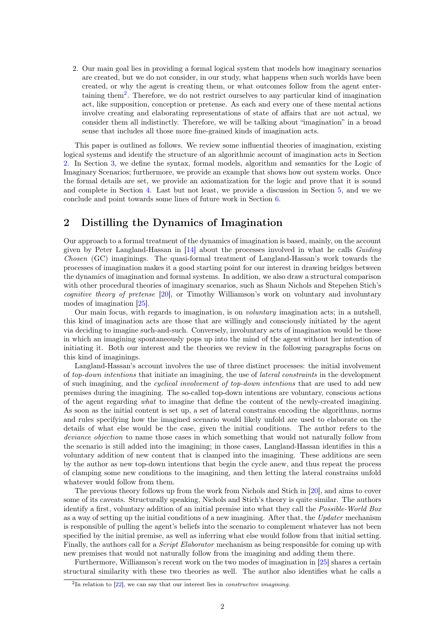2. Our main goal lies in providing a formal logical system that models how imaginary scenarios are created, but we do not consider, in our study, what happens when such worlds have been created, or why the agent is creating them, or what outcomes follow from the agent entertaining them[2](#page-1-0) . Therefore, we do not restrict ourselves to any particular kind of imagination act, like supposition, conception or pretense. As each and every one of these mental actions involve creating and elaborating representations of state of affairs that are not actual, we consider them all indistinctly. Therefore, we will be talking about "imagination" in a broad sense that includes all those more fine-grained kinds of imagination acts.

This paper is outlined as follows. We review some influential theories of imagination, existing logical systems and identify the structure of an algorithmic account of imagination acts in Section [2.](#page-1-1) In Section [3,](#page-5-0) we define the syntax, formal models, algorithm and semantics for the Logic of Imaginary Scenarios; furthermore, we provide an example that shows how out system works. Once the formal details are set, we provide an axiomatization for the logic and prove that it is sound and complete in Section [4.](#page-12-0) Last but not least, we provide a discussion in Section [5,](#page-18-0) and we we conclude and point towards some lines of future work in Section [6.](#page-20-0)

## <span id="page-1-1"></span>2 Distilling the Dynamics of Imagination

Our approach to a formal treatment of the dynamics of imagination is based, mainly, on the account given by Peter Langland-Hassan in [\[14\]](#page-22-5) about the processes involved in what he calls Guiding Chosen (GC) imaginings. The quasi-formal treatment of Langland-Hassan's work towards the processes of imagination makes it a good starting point for our interest in drawing bridges between the dynamics of imagination and formal systems. In addition, we also draw a structural comparison with other procedural theories of imaginary scenarios, such as Shaun Nichols and Stepehen Stich's cognitive theory of pretense [\[20\]](#page-22-4), or Timothy Williamson's work on voluntary and involuntary modes of imagination [\[25\]](#page-22-6).

Our main focus, with regards to imagination, is on voluntary imagination acts; in a nutshell, this kind of imagination acts are those that are willingly and consciously initiated by the agent via deciding to imagine such-and-such. Conversely, involuntary acts of imagination would be those in which an imagining spontaneously pops up into the mind of the agent without her intention of initiating it. Both our interest and the theories we review in the following paragraphs focus on this kind of imaginings.

Langland-Hassan's account involves the use of three distinct processes: the initial involvement of top-down intentions that initiate an imagining, the use of lateral constraints in the development of such imagining, and the cyclical involvement of top-down intentions that are used to add new premises during the imagining. The so-called top-down intentions are voluntary, conscious actions of the agent regarding what to imagine that define the content of the newly-created imagining. As soon as the initial content is set up, a set of lateral constrains encoding the algorithms, norms and rules specifying how the imagined scenario would likely unfold are used to elaborate on the details of what else would be the case, given the initial conditions. The author refers to the deviance objection to name those cases in which something that would not naturally follow from the scenario is still added into the imagining; in those cases, Langland-Hassan identifies in this a voluntary addition of new content that is clamped into the imagining. These additions are seen by the author as new top-down intentions that begin the cycle anew, and thus repeat the process of clamping some new conditions to the imagining, and then letting the lateral constrains unfold whatever would follow from them.

The previous theory follows up from the work from Nichols and Stich in [\[20\]](#page-22-4), and aims to cover some of its caveats. Structurally speaking, Nichols and Stich's theory is quite similar. The authors identify a first, voluntary addition of an initial premise into what they call the Possible-World Box as a way of setting up the initial conditions of a new imagining. After that, the Updater mechanism is responsible of pulling the agent's beliefs into the scenario to complement whatever has not been specified by the initial premise, as well as inferring what else would follow from that initial setting. Finally, the authors call for a *Script Elaborator* mechanism as being responsible for coming up with new premises that would not naturally follow from the imagining and adding them there.

Furthermore, Williamson's recent work on the two modes of imagination in [\[25\]](#page-22-6) shares a certain structural similarity with these two theories as well. The author also identifies what he calls a

<span id="page-1-0"></span> ${}^{2}$ In relation to  $[22]$ , we can say that our interest lies in *constructive imagining*.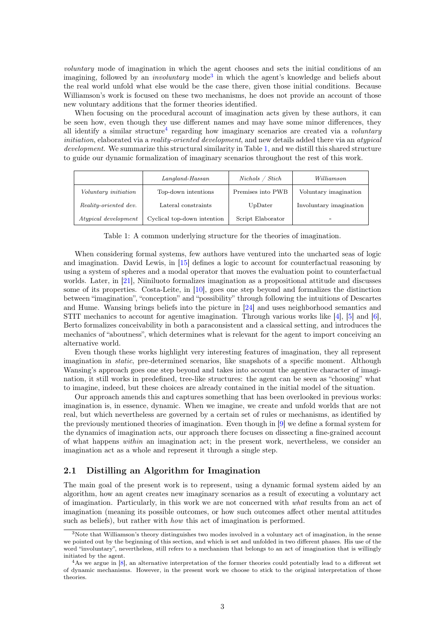voluntary mode of imagination in which the agent chooses and sets the initial conditions of an imagining, followed by an *involuntary* mode<sup>[3](#page-2-0)</sup> in which the agent's knowledge and beliefs about the real world unfold what else would be the case there, given those initial conditions. Because Williamson's work is focused on these two mechanisms, he does not provide an account of those new voluntary additions that the former theories identified.

When focusing on the procedural account of imagination acts given by these authors, it can be seen how, even though they use different names and may have some minor differences, they all identify a similar structure<sup>[4](#page-2-1)</sup> regarding how imaginary scenarios are created via a *voluntary* initiation, elaborated via a *reality-oriented development*, and new details added there via an *atypical* development. We summarize this structural similarity in Table [1,](#page-2-2) and we distill this shared structure to guide our dynamic formalization of imaginary scenarios throughout the rest of this work.

|                             | $Landand-Hassan$            | Nichols / Stich   | Williamson              |
|-----------------------------|-----------------------------|-------------------|-------------------------|
| <i>Voluntary initiation</i> | Top-down intentions         | Premises into PWB | Voluntary imagination   |
| Reality-oriented dev.       | Lateral constraints         | UpDater           | Involuntary imagination |
| Atypical development        | Cyclical top-down intention | Script Elaborator |                         |

<span id="page-2-2"></span>Table 1: A common underlying structure for the theories of imagination.

When considering formal systems, few authors have ventured into the uncharted seas of logic and imagination. David Lewis, in [\[15\]](#page-22-8) defines a logic to account for counterfactual reasoning by using a system of spheres and a modal operator that moves the evaluation point to counterfactual worlds. Later, in [\[21\]](#page-22-9), Niiniluoto formalizes imagination as a propositional attitude and discusses some of its properties. Costa-Leite, in [\[10\]](#page-21-2), goes one step beyond and formalizes the distinction between "imagination", "conception" and "possibility" through following the intuitions of Descartes and Hume. Wansing brings beliefs into the picture in [\[24\]](#page-22-10) and uses neighborhood semantics and STIT mechanics to account for agentive imagination. Through various works like [\[4\]](#page-21-3), [\[5\]](#page-21-4) and [\[6\]](#page-21-5), Berto formalizes conceivability in both a paraconsistent and a classical setting, and introduces the mechanics of "aboutness", which determines what is relevant for the agent to import conceiving an alternative world.

Even though these works highlight very interesting features of imagination, they all represent imagination in *static*, pre-determined scenarios, like snapshots of a specific moment. Although Wansing's approach goes one step beyond and takes into account the agentive character of imagination, it still works in predefined, tree-like structures: the agent can be seen as "choosing" what to imagine, indeed, but these choices are already contained in the initial model of the situation.

Our approach amends this and captures something that has been overlooked in previous works: imagination is, in essence, dynamic. When we imagine, we create and unfold worlds that are not real, but which nevertheless are governed by a certain set of rules or mechanisms, as identified by the previously mentioned theories of imagination. Even though in [\[9\]](#page-21-6) we define a formal system for the dynamics of imagination acts, our approach there focuses on dissecting a fine-grained account of what happens within an imagination act; in the present work, nevertheless, we consider an imagination act as a whole and represent it through a single step.

### 2.1 Distilling an Algorithm for Imagination

The main goal of the present work is to represent, using a dynamic formal system aided by an algorithm, how an agent creates new imaginary scenarios as a result of executing a voluntary act of imagination. Particularly, in this work we are not concerned with what results from an act of imagination (meaning its possible outcomes, or how such outcomes affect other mental attitudes such as beliefs), but rather with *how* this act of imagination is performed.

<span id="page-2-0"></span><sup>3</sup>Note that Williamson's theory distinguishes two modes involved in a voluntary act of imagination, in the sense we pointed out by the beginning of this section, and which is set and unfolded in two different phases. His use of the word "involuntary", nevertheless, still refers to a mechanism that belongs to an act of imagination that is willingly initiated by the agent.

<span id="page-2-1"></span><sup>4</sup>As we argue in [\[8\]](#page-21-7), an alternative interpretation of the former theories could potentially lead to a different set of dynamic mechanisms. However, in the present work we choose to stick to the original interpretation of those theories.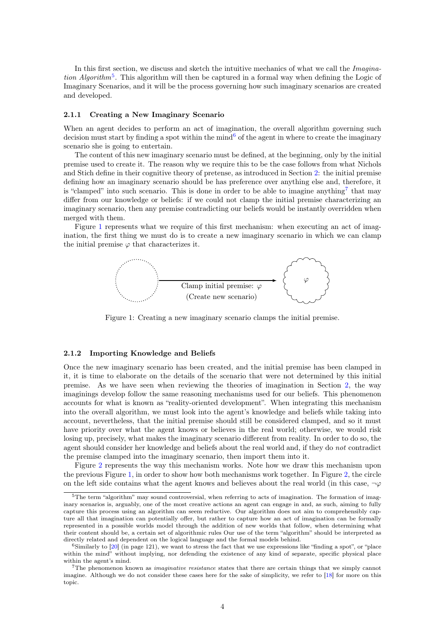In this first section, we discuss and sketch the intuitive mechanics of what we call the Imagina-tion Algorithm<sup>[5](#page-3-0)</sup>. This algorithm will then be captured in a formal way when defining the Logic of Imaginary Scenarios, and it will be the process governing how such imaginary scenarios are created and developed.

#### 2.1.1 Creating a New Imaginary Scenario

When an agent decides to perform an act of imagination, the overall algorithm governing such decision must start by finding a spot within the mind $6\%$  $6\%$  of the agent in where to create the imaginary scenario she is going to entertain.

The content of this new imaginary scenario must be defined, at the beginning, only by the initial premise used to create it. The reason why we require this to be the case follows from what Nichols and Stich define in their cognitive theory of pretense, as introduced in Section [2:](#page-1-1) the initial premise defining how an imaginary scenario should be has preference over anything else and, therefore, it is "clamped" into such scenario. This is done in order to be able to imagine anything<sup>[7](#page-3-2)</sup> that may differ from our knowledge or beliefs: if we could not clamp the initial premise characterizing an imaginary scenario, then any premise contradicting our beliefs would be instantly overridden when merged with them.

Figure [1](#page-3-3) represents what we require of this first mechanism: when executing an act of imagination, the first thing we must do is to create a new imaginary scenario in which we can clamp the initial premise  $\varphi$  that characterizes it.



<span id="page-3-3"></span>Figure 1: Creating a new imaginary scenario clamps the initial premise.

#### 2.1.2 Importing Knowledge and Beliefs

Once the new imaginary scenario has been created, and the initial premise has been clamped in it, it is time to elaborate on the details of the scenario that were not determined by this initial premise. As we have seen when reviewing the theories of imagination in Section [2,](#page-1-1) the way imaginings develop follow the same reasoning mechanisms used for our beliefs. This phenomenon accounts for what is known as "reality-oriented development". When integrating this mechanism into the overall algorithm, we must look into the agent's knowledge and beliefs while taking into account, nevertheless, that the initial premise should still be considered clamped, and so it must have priority over what the agent knows or believes in the real world; otherwise, we would risk losing up, precisely, what makes the imaginary scenario different from reality. In order to do so, the agent should consider her knowledge and beliefs about the real world and, if they do not contradict the premise clamped into the imaginary scenario, then import them into it.

Figure [2](#page-4-0) represents the way this mechanism works. Note how we draw this mechanism upon the previous Figure [1,](#page-3-3) in order to show how both mechanisms work together. In Figure [2,](#page-4-0) the circle on the left side contains what the agent knows and believes about the real world (in this case,  $\neg \varphi$ 

<span id="page-3-0"></span> $5$ The term "algorithm" may sound controversial, when referring to acts of imagination. The formation of imaginary scenarios is, arguably, one of the most creative actions an agent can engage in and, as such, aiming to fully capture this process using an algorithm can seem reductive. Our algorithm does not aim to comprehensibly capture all that imagination can potentially offer, but rather to capture how an act of imagination can be formally represented in a possible worlds model through the addition of new worlds that follow, when determining what their content should be, a certain set of algorithmic rules Our use of the term "algorithm" should be interpreted as directly related and dependent on the logical language and the formal models behind.

<span id="page-3-1"></span> $6$ Similarly to  $[20]$  (in page 121), we want to stress the fact that we use expressions like "finding a spot", or "place within the mind" without implying, nor defending the existence of any kind of separate, specific physical place within the agent's mind.

<span id="page-3-2"></span><sup>&</sup>lt;sup>7</sup>The phenomenon known as *imaginative resistance* states that there are certain things that we simply cannot imagine. Although we do not consider these cases here for the sake of simplicity, we refer to [\[18\]](#page-22-11) for more on this topic.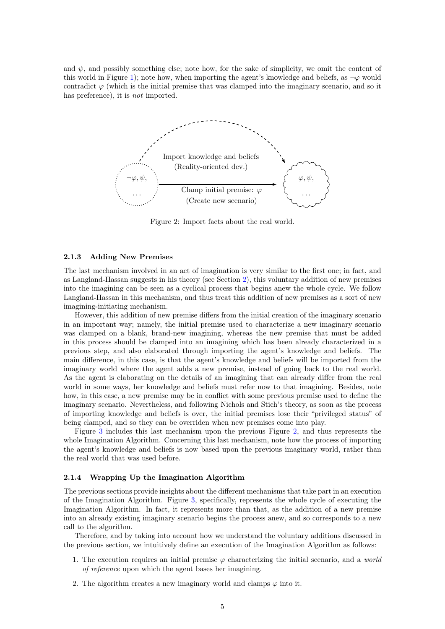and  $\psi$ , and possibly something else; note how, for the sake of simplicity, we omit the content of this world in Figure [1\)](#page-3-3); note how, when importing the agent's knowledge and beliefs, as  $\neg \varphi$  would contradict  $\varphi$  (which is the initial premise that was clamped into the imaginary scenario, and so it has preference), it is *not* imported.



<span id="page-4-0"></span>Figure 2: Import facts about the real world.

### 2.1.3 Adding New Premises

The last mechanism involved in an act of imagination is very similar to the first one; in fact, and as Langland-Hassan suggests in his theory (see Section [2\)](#page-1-1), this voluntary addition of new premises into the imagining can be seen as a cyclical process that begins anew the whole cycle. We follow Langland-Hassan in this mechanism, and thus treat this addition of new premises as a sort of new imagining-initiating mechanism.

However, this addition of new premise differs from the initial creation of the imaginary scenario in an important way; namely, the initial premise used to characterize a new imaginary scenario was clamped on a blank, brand-new imagining, whereas the new premise that must be added in this process should be clamped into an imagining which has been already characterized in a previous step, and also elaborated through importing the agent's knowledge and beliefs. The main difference, in this case, is that the agent's knowledge and beliefs will be imported from the imaginary world where the agent adds a new premise, instead of going back to the real world. As the agent is elaborating on the details of an imagining that can already differ from the real world in some ways, her knowledge and beliefs must refer now to that imagining. Besides, note how, in this case, a new premise may be in conflict with some previous premise used to define the imaginary scenario. Nevertheless, and following Nichols and Stich's theory, as soon as the process of importing knowledge and beliefs is over, the initial premises lose their "privileged status" of being clamped, and so they can be overriden when new premises come into play.

Figure [3](#page-5-1) includes this last mechanism upon the previous Figure [2,](#page-4-0) and thus represents the whole Imagination Algorithm. Concerning this last mechanism, note how the process of importing the agent's knowledge and beliefs is now based upon the previous imaginary world, rather than the real world that was used before.

### 2.1.4 Wrapping Up the Imagination Algorithm

The previous sections provide insights about the different mechanisms that take part in an execution of the Imagination Algorithm. Figure [3,](#page-5-1) specifically, represents the whole cycle of executing the Imagination Algorithm. In fact, it represents more than that, as the addition of a new premise into an already existing imaginary scenario begins the process anew, and so corresponds to a new call to the algorithm.

Therefore, and by taking into account how we understand the voluntary additions discussed in the previous section, we intuitively define an execution of the Imagination Algorithm as follows:

- 1. The execution requires an initial premise  $\varphi$  characterizing the initial scenario, and a *world* of reference upon which the agent bases her imagining.
- 2. The algorithm creates a new imaginary world and clamps  $\varphi$  into it.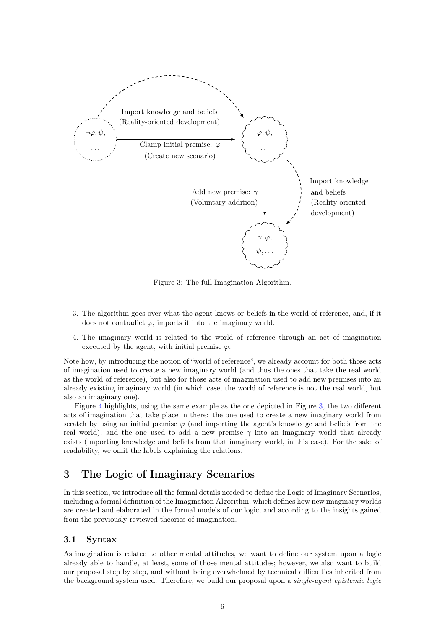

<span id="page-5-1"></span>Figure 3: The full Imagination Algorithm.

- 3. The algorithm goes over what the agent knows or beliefs in the world of reference, and, if it does not contradict  $\varphi$ , imports it into the imaginary world.
- 4. The imaginary world is related to the world of reference through an act of imagination executed by the agent, with initial premise  $\varphi$ .

Note how, by introducing the notion of "world of reference", we already account for both those acts of imagination used to create a new imaginary world (and thus the ones that take the real world as the world of reference), but also for those acts of imagination used to add new premises into an already existing imaginary world (in which case, the world of reference is not the real world, but also an imaginary one).

Figure [4](#page-6-0) highlights, using the same example as the one depicted in Figure [3,](#page-5-1) the two different acts of imagination that take place in there: the one used to create a new imaginary world from scratch by using an initial premise  $\varphi$  (and importing the agent's knowledge and beliefs from the real world), and the one used to add a new premise  $\gamma$  into an imaginary world that already exists (importing knowledge and beliefs from that imaginary world, in this case). For the sake of readability, we omit the labels explaining the relations.

## <span id="page-5-0"></span>3 The Logic of Imaginary Scenarios

In this section, we introduce all the formal details needed to define the Logic of Imaginary Scenarios, including a formal definition of the Imagination Algorithm, which defines how new imaginary worlds are created and elaborated in the formal models of our logic, and according to the insights gained from the previously reviewed theories of imagination.

## 3.1 Syntax

As imagination is related to other mental attitudes, we want to define our system upon a logic already able to handle, at least, some of those mental attitudes; however, we also want to build our proposal step by step, and without being overwhelmed by technical difficulties inherited from the background system used. Therefore, we build our proposal upon a single-agent epistemic logic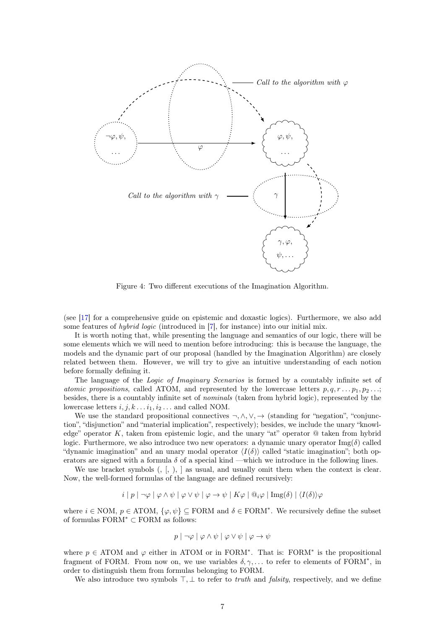

<span id="page-6-0"></span>Figure 4: Two different executions of the Imagination Algorithm.

(see [\[17\]](#page-22-12) for a comprehensive guide on epistemic and doxastic logics). Furthermore, we also add some features of hybrid logic (introduced in [\[7\]](#page-21-8), for instance) into our initial mix.

It is worth noting that, while presenting the language and semantics of our logic, there will be some elements which we will need to mention before introducing: this is because the language, the models and the dynamic part of our proposal (handled by the Imagination Algorithm) are closely related between them. However, we will try to give an intuitive understanding of each notion before formally defining it.

The language of the Logic of Imaginary Scenarios is formed by a countably infinite set of atomic propositions, called ATOM, and represented by the lowercase letters  $p, q, r \ldots p_1, p_2 \ldots;$ besides, there is a countably infinite set of nominals (taken from hybrid logic), represented by the lowercase letters  $i, j, k \ldots i_1, i_2 \ldots$  and called NOM.

We use the standard propositional connectives  $\neg, \wedge, \vee, \rightarrow$  (standing for "negation", "conjunction", "disjunction" and "material implication", respectively); besides, we include the unary "knowledge" operator K, taken from epistemic logic, and the unary "at" operator  $\Phi$  taken from hybrid logic. Furthermore, we also introduce two new operators: a dynamic unary operator Img $(\delta)$  called "dynamic imagination" and an unary modal operator  $\langle I(\delta)\rangle$  called "static imagination"; both operators are signed with a formula  $\delta$  of a special kind —which we introduce in the following lines.

We use bracket symbols  $( , [ , ), ]$  as usual, and usually omit them when the context is clear. Now, the well-formed formulas of the language are defined recursively:

$$
i | p | \neg \varphi | \varphi \wedge \psi | \varphi \vee \psi | \varphi \rightarrow \psi | K \varphi | @_{i} \varphi | Img(\delta) | \langle I(\delta) \rangle \varphi
$$

where  $i \in \text{NOM}$ ,  $p \in \text{ATOM}$ ,  $\{\varphi, \psi\} \subseteq \text{FORM}$  and  $\delta \in \text{FORM}^*$ . We recursively define the subset of formulas  $\text{FORM}^* \subset \text{FORM}$  as follows:

$$
p | \neg \varphi | \varphi \wedge \psi | \varphi \vee \psi | \varphi \rightarrow \psi
$$

where  $p \in ATOM$  and  $\varphi$  either in ATOM or in FORM<sup>\*</sup>. That is: FORM<sup>\*</sup> is the propositional fragment of FORM. From now on, we use variables  $\delta, \gamma, \ldots$  to refer to elements of FORM<sup>\*</sup>, in order to distinguish them from formulas belonging to FORM.

We also introduce two symbols  $\top, \bot$  to refer to *truth* and *falsity*, respectively, and we define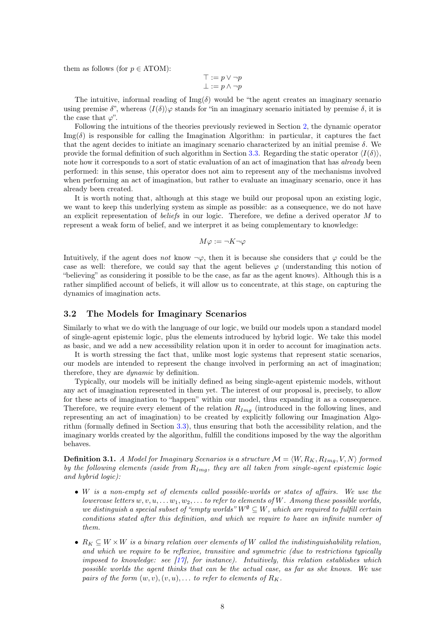them as follows (for  $p \in \text{ATOM}$ ):

$$
\top := p \lor \neg p
$$

$$
\bot := p \land \neg p
$$

The intuitive, informal reading of  $\text{Img}(\delta)$  would be "the agent creates an imaginary scenario using premise  $\delta$ ", whereas  $\langle I(\delta)\rangle\varphi$  stands for "in an imaginary scenario initiated by premise  $\delta$ , it is the case that  $\varphi$ ".

Following the intuitions of the theories previously reviewed in Section [2,](#page-1-1) the dynamic operator  $\text{Im}(s)$  is responsible for calling the Imagination Algorithm: in particular, it captures the fact that the agent decides to initiate an imaginary scenario characterized by an initial premise  $\delta$ . We provide the formal definition of such algorithm in Section [3.3.](#page-8-0) Regarding the static operator  $\langle I(\delta)\rangle$ . note how it corresponds to a sort of static evaluation of an act of imagination that has *already* been performed: in this sense, this operator does not aim to represent any of the mechanisms involved when performing an act of imagination, but rather to evaluate an imaginary scenario, once it has already been created.

It is worth noting that, although at this stage we build our proposal upon an existing logic, we want to keep this underlying system as simple as possible: as a consequence, we do not have an explicit representation of *beliefs* in our logic. Therefore, we define a derived operator  $M$  to represent a weak form of belief, and we interpret it as being complementary to knowledge:

$$
M\varphi := \neg K \neg \varphi
$$

Intuitively, if the agent does not know  $\neg \varphi$ , then it is because she considers that  $\varphi$  could be the case as well: therefore, we could say that the agent believes  $\varphi$  (understanding this notion of "believing" as considering it possible to be the case, as far as the agent knows). Although this is a rather simplified account of beliefs, it will allow us to concentrate, at this stage, on capturing the dynamics of imagination acts.

### <span id="page-7-0"></span>3.2 The Models for Imaginary Scenarios

Similarly to what we do with the language of our logic, we build our models upon a standard model of single-agent epistemic logic, plus the elements introduced by hybrid logic. We take this model as basic, and we add a new accessibility relation upon it in order to account for imagination acts.

It is worth stressing the fact that, unlike most logic systems that represent static scenarios, our models are intended to represent the change involved in performing an act of imagination; therefore, they are dynamic by definition.

Typically, our models will be initially defined as being single-agent epistemic models, without any act of imagination represented in them yet. The interest of our proposal is, precisely, to allow for these acts of imagination to "happen" within our model, thus expanding it as a consequence. Therefore, we require every element of the relation  $R_{Img}$  (introduced in the following lines, and representing an act of imagination) to be created by explicitly following our Imagination Algorithm (formally defined in Section [3.3\)](#page-8-0), thus ensuring that both the accessibility relation, and the imaginary worlds created by the algorithm, fulfill the conditions imposed by the way the algorithm behaves.

**Definition 3.1.** A Model for Imaginary Scenarios is a structure  $\mathcal{M} = \langle W, R_K, R_{Imq}, V, N \rangle$  formed by the following elements (aside from  $R_{Imq}$ , they are all taken from single-agent epistemic logic and hybrid logic):

- W is a non-empty set of elements called possible-worlds or states of affairs. We use the lowercase letters  $w, v, u, \ldots w_1, w_2, \ldots$  to refer to elements of W. Among these possible worlds, we distinguish a special subset of "empty worlds"  $W^{\emptyset} \subseteq W$ , which are required to fulfill certain conditions stated after this definition, and which we require to have an infinite number of them.
- $R_K \subseteq W \times W$  is a binary relation over elements of W called the indistinguishability relation, and which we require to be reflexive, transitive and symmetric (due to restrictions typically imposed to knowledge: see  $\lfloor 17 \rfloor$ , for instance). Intuitively, this relation establishes which possible worlds the agent thinks that can be the actual case, as far as she knows. We use pairs of the form  $(w, v), (v, u), \ldots$  to refer to elements of  $R_K$ .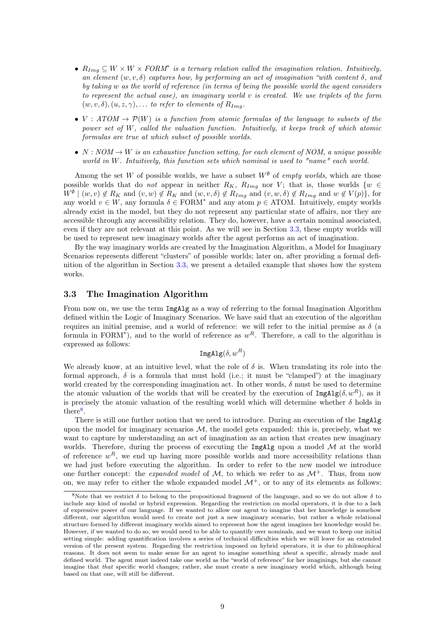- $R_{Img} \subseteq W \times W \times FORM^*$  is a ternary relation called the imagination relation. Intuitively, an element  $(w, v, \delta)$  captures how, by performing an act of imagination "with content  $\delta$ , and by taking w as the world of reference (in terms of being the possible world the agent considers to represent the actual case), an imaginary world v is created. We use triplets of the form  $(w, v, \delta), (u, z, \gamma), \ldots$  to refer to elements of  $R_{Imq}$ .
- $V : ATOM \rightarrow \mathcal{P}(W)$  is a function from atomic formulas of the language to subsets of the power set of W, called the valuation function. Intuitively, it keeps track of which atomic formulas are true at which subset of possible worlds.
- $N: NOM \to W$  is an exhaustive function setting, for each element of NOM, a unique possible world in W. Intuitively, this function sets which nominal is used to "name" each world.

Among the set W of possible worlds, we have a subset  $W^{\emptyset}$  of *empty worlds*, which are those possible worlds that do *not* appear in neither  $R_K$ ,  $R_{Img}$  nor V; that is, those worlds  $\{w \in$  $W^{\emptyset} \mid (w, v) \notin R_K$  and  $(v, w) \notin R_K$  and  $(w, v, \delta) \notin R_{Img}$  and  $(v, w, \delta) \notin R_{Img}$  and  $w \notin V(p)$ , for any world  $v \in W$ , any formula  $\delta \in \text{FORM}^*$  and any atom  $p \in \text{ATOM}$ . Intuitively, empty worlds already exist in the model, but they do not represent any particular state of affairs, nor they are accessible through any accessibility relation. They do, however, have a certain nominal associated, even if they are not relevant at this point. As we will see in Section [3.3,](#page-8-0) these empty worlds will be used to represent new imaginary worlds after the agent performs an act of imagination.

By the way imaginary worlds are created by the Imagination Algorithm, a Model for Imaginary Scenarios represents different "clusters" of possible worlds; later on, after providing a formal definition of the algorithm in Section [3.3,](#page-8-0) we present a detailed example that shows how the system works.

## <span id="page-8-0"></span>3.3 The Imagination Algorithm

From now on, we use the term ImgAlg as a way of referring to the formal Imagination Algorithm defined within the Logic of Imaginary Scenarios. We have said that an execution of the algorithm requires an initial premise, and a world of reference: we will refer to the initial premise as  $\delta$  (a formula in FORM<sup>\*</sup>), and to the world of reference as  $w^R$ . Therefore, a call to the algorithm is expressed as follows:

 $\text{ImgAlg}(\delta, w^R)$ 

We already know, at an intuitive level, what the role of  $\delta$  is. When translating its role into the formal approach,  $\delta$  is a formula that must hold (i.e.; it must be "clamped") at the imaginary world created by the corresponding imagination act. In other words,  $\delta$  must be used to determine the atomic valuation of the worlds that will be created by the execution of  $\text{ImgAlg}(\delta, w^R)$ , as it is precisely the atomic valuation of the resulting world which will determine whether  $\delta$  holds in  $there$ <sup>[8](#page-8-1)</sup>.

There is still one further notion that we need to introduce. During an execution of the ImgAlg upon the model for imaginary scenarios  $M$ , the model gets expanded: this is, precisely, what we want to capture by understanding an act of imagination as an action that creates new imaginary worlds. Therefore, during the process of executing the ImgAlg upon a model  $M$  at the world of reference  $w^R$ , we end up having more possible worlds and more accessibility relations than we had just before executing the algorithm. In order to refer to the new model we introduce one further concept: the *expanded model* of M, to which we refer to as  $\mathcal{M}^+$ . Thus, from now on, we may refer to either the whole expanded model  $\mathcal{M}^+$ , or to any of its elements as follows:

<span id="page-8-1"></span><sup>&</sup>lt;sup>8</sup>Note that we restrict  $\delta$  to belong to the propositional fragment of the language, and so we do not allow  $\delta$  to include any kind of modal or hybrid expression. Regarding the restriction on modal operators, it is due to a lack of expressive power of our language. If we wanted to allow our agent to imagine that her knowledge is somehow different, our algorithm would need to create not just a new imaginary scenario, but rather a whole relational structure formed by different imaginary worlds aimed to represent how the agent imagines her knowledge would be. However, if we wanted to do so, we would need to be able to quantify over nominals, and we want to keep our initial setting simple: adding quantification involves a series of technical difficulties which we will leave for an extended version of the present system. Regarding the restriction imposed on hybrid operators, it is due to philosophical reasons. It does not seem to make sense for an agent to imagine something about a specific, already made and defined world. The agent must indeed take one world as the "world of reference" for her imaginings, but she cannot imagine that that specific world changes; rather, she must create a new imaginary world which, although being based on that one, will still be different.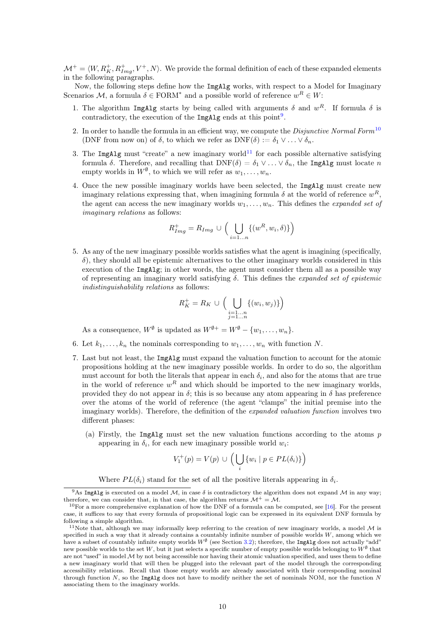$\mathcal{M}^+ = \langle W, R_K^+, R_{Img}^+, V^+, N \rangle$ . We provide the formal definition of each of these expanded elements in the following paragraphs.

Now, the following steps define how the ImgAlg works, with respect to a Model for Imaginary Scenarios M, a formula  $\delta \in \text{FORM}^*$  and a possible world of reference  $w^R \in W$ :

- 1. The algorithm ImgAlg starts by being called with arguments  $\delta$  and  $w^R$ . If formula  $\delta$  is contradictory, the execution of the ImgAlg ends at this point<sup>[9](#page-9-0)</sup>.
- 2. In order to handle the formula in an efficient way, we compute the *Disjunctive Normal Form*<sup>[10](#page-9-1)</sup> (DNF from now on) of  $\delta$ , to which we refer as  $DNF(\delta) := \delta_1 \vee ... \vee \delta_n$ .
- 3. The ImgAlg must "create" a new imaginary world<sup>[11](#page-9-2)</sup> for each possible alternative satisfying formula δ. Therefore, and recalling that  $DNF(\delta) = \delta_1 \vee ... \vee \delta_n$ , the ImgAlg must locate n empty worlds in  $W^{\emptyset}$ , to which we will refer as  $w_1, \ldots, w_n$ .
- 4. Once the new possible imaginary worlds have been selected, the ImgAlg must create new imaginary relations expressing that, when imagining formula  $\delta$  at the world of reference  $w^R$ , the agent can access the new imaginary worlds  $w_1, \ldots, w_n$ . This defines the *expanded set of* imaginary relations as follows:

$$
R_{Img}^+ = R_{Img} \cup \left( \bigcup_{i=1...n} \{ (w^R, w_i, \delta) \} \right)
$$

5. As any of the new imaginary possible worlds satisfies what the agent is imagining (specifically, δ), they should all be epistemic alternatives to the other imaginary worlds considered in this execution of the ImgAlg; in other words, the agent must consider them all as a possible way of representing an imaginary world satisfying  $\delta$ . This defines the *expanded set of epistemic* indistinguishability relations as follows:

$$
R_K^+ = R_K \cup \Big( \bigcup_{\substack{i=1...n\\j=1...n}} \{(w_i, w_j)\}\Big)
$$

As a consequence,  $W^{\emptyset}$  is updated as  $W^{\emptyset+} = W^{\emptyset} - \{w_1, \ldots, w_n\}.$ 

- 6. Let  $k_1, \ldots, k_n$  the nominals corresponding to  $w_1, \ldots, w_n$  with function N.
- 7. Last but not least, the ImgAlg must expand the valuation function to account for the atomic propositions holding at the new imaginary possible worlds. In order to do so, the algorithm must account for both the literals that appear in each  $\delta_i$ , and also for the atoms that are true in the world of reference  $w<sup>R</sup>$  and which should be imported to the new imaginary worlds, provided they do not appear in  $\delta$ ; this is so because any atom appearing in  $\delta$  has preference over the atoms of the world of reference (the agent "clamps" the initial premise into the imaginary worlds). Therefore, the definition of the expanded valuation function involves two different phases:
	- (a) Firstly, the ImgAlg must set the new valuation functions according to the atoms p appearing in  $\delta_i$ , for each new imaginary possible world  $w_i$ :

$$
V_1^+(p) = V(p) \cup \left(\bigcup_i \{w_i \mid p \in PL(\delta_i)\}\right)
$$

Where  $PL(\delta_i)$  stand for the set of all the positive literals appearing in  $\delta_i$ .

<span id="page-9-0"></span><sup>&</sup>lt;sup>9</sup>As ImgAlg is executed on a model M, in case  $\delta$  is contradictory the algorithm does not expand M in any way; therefore, we can consider that, in that case, the algorithm returns  $\mathcal{M}^+ = \mathcal{M}$ .

<span id="page-9-1"></span> $10$ For a more comprehensive explanation of how the DNF of a formula can be computed, see [\[16\]](#page-22-13). For the present case, it suffices to say that every formula of propositional logic can be expressed in its equivalent DNF formula by following a simple algorithm.

<span id="page-9-2"></span><sup>&</sup>lt;sup>11</sup>Note that, although we may informally keep referring to the creation of new imaginary worlds, a model  $M$  is specified in such a way that it already contains a countably infinite number of possible worlds W, among which we have a subset of countably infinite empty worlds  $W^{\emptyset}$  (see Section [3.2\)](#page-7-0); therefore, the ImgAlg does not actually "add" new possible worlds to the set W, but it just selects a specific number of empty possible worlds belonging to  $W^{\emptyset}$  that are not "used" in model  $M$  by not being accessible nor having their atomic valuation specified, and uses them to define a new imaginary world that will then be plugged into the relevant part of the model through the corresponding accessibility relations. Recall that those empty worlds are already associated with their corresponding nominal through function  $N$ , so the ImgAlg does not have to modify neither the set of nominals NOM, nor the function  $N$ associating them to the imaginary worlds.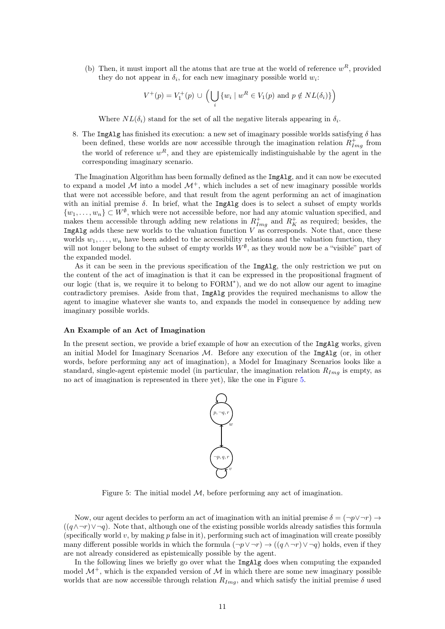(b) Then, it must import all the atoms that are true at the world of reference  $w^R$ , provided they do not appear in  $\delta_i$ , for each new imaginary possible world  $w_i$ :

$$
V^+(p) = V_1^+(p) \cup \left( \bigcup_i \{w_i \mid w^R \in V_1(p) \text{ and } p \notin NL(\delta_i) \} \right)
$$

Where  $NL(\delta_i)$  stand for the set of all the negative literals appearing in  $\delta_i$ .

8. The ImgAlg has finished its execution: a new set of imaginary possible worlds satisfying  $\delta$  has been defined, these worlds are now accessible through the imagination relation  $R_{Img}^+$  from the world of reference  $w^R$ , and they are epistemically indistinguishable by the agent in the corresponding imaginary scenario.

The Imagination Algorithm has been formally defined as the ImgAlg, and it can now be executed to expand a model  $\mathcal{M}$  into a model  $\mathcal{M}^+$ , which includes a set of new imaginary possible worlds that were not accessible before, and that result from the agent performing an act of imagination with an initial premise  $\delta$ . In brief, what the ImgAlg does is to select a subset of empty worlds  $\{w_1,\ldots,w_n\} \subset W^{\emptyset}$ , which were not accessible before, nor had any atomic valuation specified, and makes them accessible through adding new relations in  $R_{Img}^+$  and  $R_K^+$  as required; besides, the ImgAlg adds these new worlds to the valuation function  $V$  as corresponds. Note that, once these worlds  $w_1, \ldots, w_n$  have been added to the accessibility relations and the valuation function, they will not longer belong to the subset of empty worlds  $W^{\emptyset}$ , as they would now be a "visible" part of the expanded model.

As it can be seen in the previous specification of the ImgAlg, the only restriction we put on the content of the act of imagination is that it can be expressed in the propositional fragment of our logic (that is, we require it to belong to FORM<sup>∗</sup> ), and we do not allow our agent to imagine contradictory premises. Aside from that, ImgAlg provides the required mechanisms to allow the agent to imagine whatever she wants to, and expands the model in consequence by adding new imaginary possible worlds.

#### An Example of an Act of Imagination

In the present section, we provide a brief example of how an execution of the ImgAlg works, given an initial Model for Imaginary Scenarios  $M$ . Before any execution of the ImgAlg (or, in other words, before performing any act of imagination), a Model for Imaginary Scenarios looks like a standard, single-agent epistemic model (in particular, the imagination relation  $R_{Imq}$  is empty, as no act of imagination is represented in there yet), like the one in Figure [5.](#page-10-0)



<span id="page-10-0"></span>Figure 5: The initial model  $M$ , before performing any act of imagination.

Now, our agent decides to perform an act of imagination with an initial premise  $\delta = (\neg p \lor \neg r) \rightarrow$  $((q \wedge \neg r) \vee \neg q)$ . Note that, although one of the existing possible worlds already satisfies this formula (specifically world v, by making  $p$  false in it), performing such act of imagination will create possibly many different possible worlds in which the formula  $(\neg p \lor \neg r) \rightarrow ((q \land \neg r) \lor \neg q)$  holds, even if they are not already considered as epistemically possible by the agent.

In the following lines we briefly go over what the ImgAlg does when computing the expanded model  $\mathcal{M}^+$ , which is the expanded version of  $\mathcal M$  in which there are some new imaginary possible worlds that are now accessible through relation  $R_{Imq}$ , and which satisfy the initial premise  $\delta$  used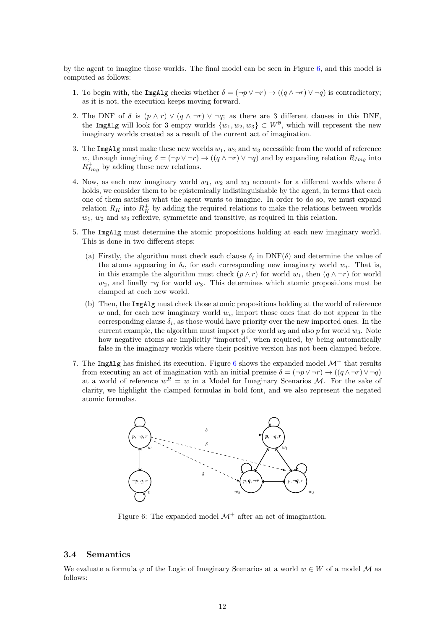by the agent to imagine those worlds. The final model can be seen in Figure [6,](#page-11-0) and this model is computed as follows:

- 1. To begin with, the ImgAlg checks whether  $\delta = (\neg p \lor \neg r) \rightarrow ((q \land \neg r) \lor \neg q)$  is contradictory; as it is not, the execution keeps moving forward.
- 2. The DNF of  $\delta$  is  $(p \wedge r) \vee (q \wedge \neg r) \vee \neg q$ ; as there are 3 different clauses in this DNF, the ImgAlg will look for 3 empty worlds  $\{w_1, w_2, w_3\} \subset W^{\emptyset}$ , which will represent the new imaginary worlds created as a result of the current act of imagination.
- 3. The ImgAlg must make these new worlds  $w_1, w_2$  and  $w_3$  accessible from the world of reference w, through imagining  $\delta = (\neg p \lor \neg r) \rightarrow ((q \land \neg r) \lor \neg q)$  and by expanding relation  $R_{Img}$  into  $R_{Img}^+$  by adding those new relations.
- 4. Now, as each new imaginary world  $w_1, w_2$  and  $w_3$  accounts for a different worlds where  $\delta$ holds, we consider them to be epistemically indistinguishable by the agent, in terms that each one of them satisfies what the agent wants to imagine. In order to do so, we must expand relation  $R_K$  into  $R_K^+$  by adding the required relations to make the relations between worlds  $w_1, w_2$  and  $w_3$  reflexive, symmetric and transitive, as required in this relation.
- 5. The ImgAlg must determine the atomic propositions holding at each new imaginary world. This is done in two different steps:
	- (a) Firstly, the algorithm must check each clause  $\delta_i$  in  $DNF(\delta)$  and determine the value of the atoms appearing in  $\delta_i$ , for each corresponding new imaginary world  $w_i$ . That is, in this example the algorithm must check  $(p \wedge r)$  for world  $w_1$ , then  $(q \wedge \neg r)$  for world  $w_2$ , and finally  $\neg q$  for world  $w_3$ . This determines which atomic propositions must be clamped at each new world.
	- (b) Then, the ImgAlg must check those atomic propositions holding at the world of reference  $w$  and, for each new imaginary world  $w_i$ , import those ones that do not appear in the corresponding clause  $\delta_i$ , as those would have priority over the new imported ones. In the current example, the algorithm must import  $p$  for world  $w_2$  and also  $p$  for world  $w_3$ . Note how negative atoms are implicitly "imported", when required, by being automatically false in the imaginary worlds where their positive version has not been clamped before.
- 7. The ImgAlg has finished its execution. Figure [6](#page-11-0) shows the expanded model  $\mathcal{M}^+$  that results from executing an act of imagination with an initial premise  $\delta = (\neg p \lor \neg r) \rightarrow ((q \land \neg r) \lor \neg q)$ at a world of reference  $w^R = w$  in a Model for Imaginary Scenarios M. For the sake of clarity, we highlight the clamped formulas in bold font, and we also represent the negated atomic formulas.



<span id="page-11-0"></span>Figure 6: The expanded model  $\mathcal{M}^+$  after an act of imagination.

## 3.4 Semantics

We evaluate a formula  $\varphi$  of the Logic of Imaginary Scenarios at a world  $w \in W$  of a model M as follows: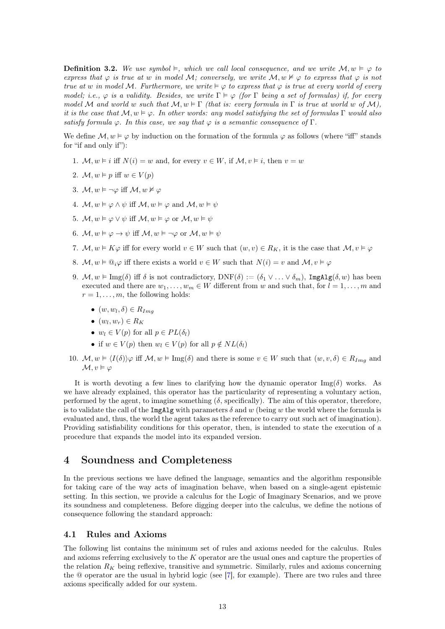**Definition 3.2.** We use symbol  $\models$ , which we call local consequence, and we write  $\mathcal{M}, w \models \varphi$  to express that  $\varphi$  is true at w in model M; conversely, we write  $M, w \nvDash \varphi$  to express that  $\varphi$  is not true at w in model M. Furthermore, we write  $\models \varphi$  to express that  $\varphi$  is true at every world of every model; i.e.,  $\varphi$  is a validity. Besides, we write  $\Gamma \models \varphi$  (for  $\Gamma$  being a set of formulas) if, for every model M and world w such that  $\mathcal{M}, w \models \Gamma$  (that is: every formula in  $\Gamma$  is true at world w of M), it is the case that  $\mathcal{M}, w \models \varphi$ . In other words: any model satisfying the set of formulas  $\Gamma$  would also satisfy formula  $\varphi$ . In this case, we say that  $\varphi$  is a semantic consequence of  $\Gamma$ .

We define  $\mathcal{M}, w \models \varphi$  by induction on the formation of the formula  $\varphi$  as follows (where "iff" stands for "if and only if"):

- 1.  $M, w \models i$  iff  $N(i) = w$  and, for every  $v \in W$ , if  $M, v \models i$ , then  $v = w$
- 2.  $\mathcal{M}, w \models p$  iff  $w \in V(p)$
- 3.  $M, w \models \neg \varphi$  iff  $M, w \not\models \varphi$
- 4.  $\mathcal{M}, w \models \varphi \land \psi$  iff  $\mathcal{M}, w \models \varphi$  and  $\mathcal{M}, w \models \psi$
- 5.  $M, w \models \varphi \lor \psi$  iff  $M, w \models \varphi$  or  $M, w \models \psi$
- 6.  $M, w \models \varphi \rightarrow \psi$  iff  $M, w \models \neg \varphi$  or  $M, w \models \psi$
- 7.  $M, w \models K\varphi$  iff for every world  $v \in W$  such that  $(w, v) \in R_K$ , it is the case that  $M, v \models \varphi$
- 8.  $M, w \models \mathbb{Q}_i \varphi$  iff there exists a world  $v \in W$  such that  $N(i) = v$  and  $M, v \models \varphi$
- 9.  $M, w \models \text{Img}(\delta)$  iff  $\delta$  is not contradictory,  $DNF(\delta) := (\delta_1 \vee \ldots \vee \delta_m)$ ,  $\text{ImgAlg}(\delta, w)$  has been executed and there are  $w_1, \ldots, w_m \in W$  different from w and such that, for  $l = 1, \ldots, m$  and  $r = 1, \ldots, m$ , the following holds:
	- $\bullet$   $(w, w_l, \delta) \in R_{Img}$
	- $\bullet$   $(w_l, w_r) \in R_K$
	- $w_l \in V(p)$  for all  $p \in PL(\delta_l)$
	- if  $w \in V(p)$  then  $w_l \in V(p)$  for all  $p \notin NL(\delta_l)$
- 10.  $\mathcal{M}, w \models \langle I(\delta)\rangle \varphi$  iff  $\mathcal{M}, w \models \text{Img}(\delta)$  and there is some  $v \in W$  such that  $(w, v, \delta) \in R_{Img}$  and  $\mathcal{M}, v \vDash \varphi$

It is worth devoting a few lines to clarifying how the dynamic operator  $\text{Img}(\delta)$  works. As we have already explained, this operator has the particularity of representing a voluntary action, performed by the agent, to imagine something  $(\delta,$  specifically). The aim of this operator, therefore, is to validate the call of the ImgAlg with parameters  $\delta$  and w (being w the world where the formula is evaluated and, thus, the world the agent takes as the reference to carry out such act of imagination). Providing satisfiability conditions for this operator, then, is intended to state the execution of a procedure that expands the model into its expanded version.

## <span id="page-12-0"></span>4 Soundness and Completeness

In the previous sections we have defined the language, semantics and the algorithm responsible for taking care of the way acts of imagination behave, when based on a single-agent epistemic setting. In this section, we provide a calculus for the Logic of Imaginary Scenarios, and we prove its soundness and completeness. Before digging deeper into the calculus, we define the notions of consequence following the standard approach:

## 4.1 Rules and Axioms

The following list contains the minimum set of rules and axioms needed for the calculus. Rules and axioms referring exclusively to the K operator are the usual ones and capture the properties of the relation  $R_K$  being reflexive, transitive and symmetric. Similarly, rules and axioms concerning the @ operator are the usual in hybrid logic (see [\[7\]](#page-21-8), for example). There are two rules and three axioms specifically added for our system.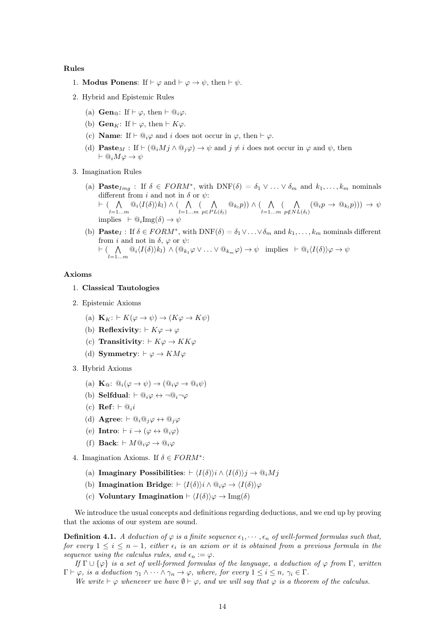#### Rules

- 1. Modus Ponens: If  $\vdash \varphi$  and  $\vdash \varphi \rightarrow \psi$ , then  $\vdash \psi$ .
- 2. Hybrid and Epistemic Rules
	- (a) **Gen**<sub> $\circ$ </sub>: If  $\vdash \varphi$ , then  $\vdash \mathbb{Q}, \varphi$ .
	- (b)  $\mathbf{Gen}_K$ : If  $\vdash \varphi$ , then  $\vdash K\varphi$ .
	- (c) **Name**: If  $\vdash \mathbb{Q}_i \varphi$  and i does not occur in  $\varphi$ , then  $\vdash \varphi$ .
	- (d) **Paste**<sub>M</sub> : If  $\vdash (\mathbb{Q}_i M_j \land \mathbb{Q}_j \varphi) \rightarrow \psi$  and  $j \neq i$  does not occur in  $\varphi$  and  $\psi$ , then  $\vdash @_{i}M\varphi \rightarrow \psi$
- <span id="page-13-5"></span><span id="page-13-0"></span>3. Imagination Rules
	- (a) **Paste**<sub>Img</sub>: If  $\delta \in FORM^*$ , with  $DNF(\delta) = \delta_1 \vee ... \vee \delta_m$  and  $k_1,...,k_m$  nominals different from i and not in  $\delta$  or  $\psi$ :  $\vdash$  (  $\land$  $\bigwedge_{l=1...m} \mathbb{Q}_i \langle I(\delta) \rangle k_l \big) \wedge \bigwedge_{l=1...}$  $_{l=1...m}$  $($   $\wedge$  $\bigwedge_{p\in PL(\delta_l)} @_{k_l}p)) \wedge (\bigwedge_{l=1...}$  $_{l=1...m}$  $($   $\wedge$  $\bigwedge_{p \notin NL(\delta_l)} (\mathbb{Q}_i p \to \mathbb{Q}_{k_l} p))) \to \psi$ implies  $\vdash \mathbb{Q}_i\text{Img}(\delta) \to \psi$
	- (b) **Paste**<sub>I</sub>: If  $\delta \in FORM^*$ , with  $DNF(\delta) = \delta_1 \vee ... \vee \delta_m$  and  $k_1, ..., k_m$  nominals different from i and not in  $\delta$ ,  $\varphi$  or  $\psi$ :  $\vdash$  (  $\land$  $\bigwedge_{l=1...m} \mathbb{Q}_i \langle I(\delta) \rangle k_l \rangle \wedge (\mathbb{Q}_{k_1} \varphi \vee \ldots \vee \mathbb{Q}_{k_m} \varphi) \rightarrow \psi \text{ implies } \vdash \mathbb{Q}_i \langle I(\delta) \rangle \varphi \rightarrow \psi$

### <span id="page-13-1"></span>Axioms

#### 1. Classical Tautologies

- 2. Epistemic Axioms
	- (a)  $\mathbf{K}_K: \vdash K(\varphi \to \psi) \to (K\varphi \to K\psi)$
	- (b) Reflexivity:  $\vdash K\varphi \to \varphi$
	- (c) Transitivity:  $\vdash K\varphi \rightarrow KK\varphi$
	- (d) **Symmetry**:  $\vdash \varphi \rightarrow KM \varphi$
- <span id="page-13-6"></span>3. Hybrid Axioms
	- (a)  $\mathbf{K}_{\odot}$ :  $\mathbb{Q}_i(\varphi \to \psi) \to (\mathbb{Q}_i \varphi \to \mathbb{Q}_i \psi)$
	- (b) **Selfdual**:  $\vdash @_{i}\varphi \leftrightarrow \neg @_{i}\neg \varphi$
	- (c) Ref:  $\vdash \mathbb{Q}_i i$
	- (d) **Agree**:  $\vdash \mathbb{Q}_i \mathbb{Q}_j \varphi \leftrightarrow \mathbb{Q}_j \varphi$
	- (e) Intro:  $\vdash i \rightarrow (\varphi \leftrightarrow @_{i}\varphi)$
	- (f) Back:  $\vdash M@_{i}\varphi \rightarrow @_{i}\varphi$
- <span id="page-13-3"></span><span id="page-13-2"></span>4. Imagination Axioms. If  $\delta \in FORM^*$ :
	- (a) Imaginary Possibilities:  $\vdash \langle I(\delta)\rangle i \wedge \langle I(\delta)\rangle j \rightarrow \mathbb{Q}_iM j$
	- (b) Imagination Bridge:  $\vdash \langle I(\delta)\rangle i \wedge @_{i}\varphi \rightarrow \langle I(\delta)\rangle \varphi$
	- (c) Voluntary Imagination  $\vdash \langle I(\delta)\rangle_{\mathcal{Q}} \rightarrow \text{Img}(\delta)$

<span id="page-13-4"></span>We introduce the usual concepts and definitions regarding deductions, and we end up by proving that the axioms of our system are sound.

**Definition 4.1.** A deduction of  $\varphi$  is a finite sequence  $\epsilon_1, \dots, \epsilon_n$  of well-formed formulas such that, for every  $1 \leq i \leq n-1$ , either  $\epsilon_i$  is an axiom or it is obtained from a previous formula in the sequence using the calculus rules, and  $\epsilon_n := \varphi$ .

If  $\Gamma \cup {\varphi}$  is a set of well-formed formulas of the language, a deduction of  $\varphi$  from  $\Gamma$ , written  $\Gamma \vdash \varphi$ , is a deduction  $\gamma_1 \wedge \cdots \wedge \gamma_n \to \varphi$ , where, for every  $1 \leq i \leq n$ ,  $\gamma_i \in \Gamma$ .

We write  $\vdash \varphi$  whenever we have  $\emptyset \vdash \varphi$ , and we will say that  $\varphi$  is a theorem of the calculus.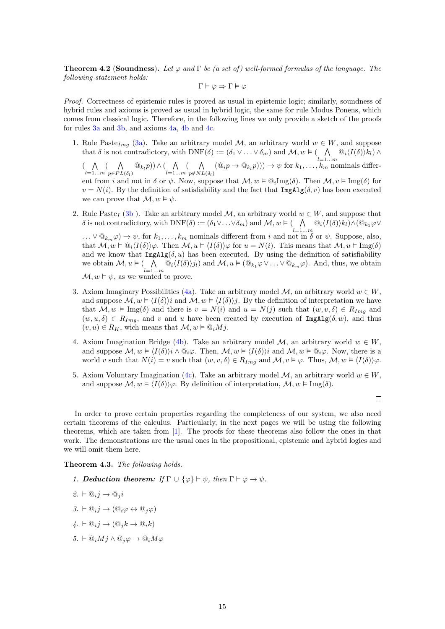**Theorem 4.2 (Soundness).** Let  $\varphi$  and  $\Gamma$  be (a set of) well-formed formulas of the language. The following statement holds:

$$
\Gamma \vdash \varphi \Rightarrow \Gamma \vDash \varphi
$$

Proof. Correctness of epistemic rules is proved as usual in epistemic logic; similarly, soundness of hybrid rules and axioms is proved as usual in hybrid logic, the same for rule Modus Ponens, which comes from classical logic. Therefore, in the following lines we only provide a sketch of the proofs for rules [3a](#page-13-0) and [3b,](#page-13-1) and axioms [4a,](#page-13-2) [4b](#page-13-3) and [4c.](#page-13-4)

1. Rule Paste<sub>Img</sub> [\(3a\)](#page-13-0). Take an arbitrary model M, an arbitrary world  $w \in W$ , and suppose that  $\delta$  is not contradictory, with  $\text{DNF}(\delta) := (\delta_1 \vee \ldots \vee \delta_m)$  and  $\mathcal{M}, w \models (\Box \bigwedge$  $\bigwedge_{l=1...m} @_{i}\langle I(\delta)\rangle k_{l} \big) \wedge$ 

 $($   $\wedge$  $_{l=1...m}$  $($   $\wedge$  $\bigwedge_{p\in PL(\delta_l)} \mathbb{Q}_{k_l} p)$ )  $\wedge$  ( $\bigwedge_{l=1...}$  $_{l=1...m}$  $($   $\wedge$  $\bigwedge_{p \notin NL(\delta_i)} (\mathbb{Q}_i p \to \mathbb{Q}_{k_l} p))) \to \psi$  for  $k_1, \ldots, k_m$  nominals different from i and not in  $\delta$  or  $\psi$ . Now, suppose that  $\mathcal{M}, w \vDash \mathbb{Q}_i\text{Img}(\delta)$ . Then  $\mathcal{M}, v \vDash \text{Img}(\delta)$  for  $v = N(i)$ . By the definition of satisfiability and the fact that  $\text{ImgAlg}(\delta, v)$  has been executed we can prove that  $\mathcal{M}, w \models \psi$ .

- 2. Rule Paste<sub>I</sub> [\(3b](#page-13-1)). Take an arbitrary model M, an arbitrary world  $w \in W$ , and suppose that δ is not contradictory, with DNF(δ) :=  $(δ₁ ∨ ... ∨ δ<sub>m</sub>)$  and  $M, w \models$  (  $\land$  $\bigwedge_{l=1...m} @_{i}\langle I(\delta)\rangle k_{l}) \wedge (\mathbb{Q}_{k_{1}}\varphi \vee$ ...  $\vee \mathbb{Q}_{k_m}\varphi$   $\to \psi$ , for  $k_1, \ldots, k_m$  nominals different from i and not in  $\delta$  or  $\psi$ . Suppose, also, that  $M, w \vDash \mathbb{Q}_i \langle I(\delta) \rangle \varphi$ . Then  $M, u \vDash \langle I(\delta) \rangle \varphi$  for  $u = N(i)$ . This means that  $M, u \vDash \text{Img}(\delta)$ and we know that  $\text{ImgAlg}(\delta, u)$  has been executed. By using the definition of satisfiability we obtain  $\mathcal{M}, u \models (\overline{\wedge})$  $\bigwedge_{l=1...m} \widehat{\mathbb{Q}}_i \langle I(\delta) \rangle j_l$  and  $\mathcal{M}, u \models (\mathbb{Q}_{k_1} \varphi \vee \ldots \vee \mathbb{Q}_{k_m} \varphi)$ . And, thus, we obtain  $\mathcal{M}, w \models \psi$ , as we wanted to prove.
- 3. Axiom Imaginary Possibilities [\(4a\)](#page-13-2). Take an arbitrary model M, an arbitrary world  $w \in W$ , and suppose  $\mathcal{M}, w \models \langle I(\delta)\rangle i$  and  $\mathcal{M}, w \models \langle I(\delta)\rangle j$ . By the definition of interpretation we have that  $M, w \models \text{Img}(\delta)$  and there is  $v = N(i)$  and  $u = N(j)$  such that  $(w, v, \delta) \in R_{Imq}$  and  $(w, u, \delta) \in R_{Img}$ , and v and u have been created by execution of ImgAlg( $\delta, w$ ), and thus  $(v, u) \in R_K$ , wich means that  $\mathcal{M}, w \models \mathbb{Q}_i M_j$ .
- 4. Axiom Imagination Bridge [\(4b\)](#page-13-3). Take an arbitrary model M, an arbitrary world  $w \in W$ , and suppose  $\mathcal{M}, w \models \langle I(\delta)\rangle i \wedge \mathbb{Q}_i\varphi$ . Then,  $\mathcal{M}, w \models \langle I(\delta)\rangle i$  and  $\mathcal{M}, w \models \mathbb{Q}_i\varphi$ . Now, there is a world v such that  $N(i) = v$  such that  $(w, v, \delta) \in R_{Imq}$  and  $\mathcal{M}, v \vDash \varphi$ . Thus,  $\mathcal{M}, w \vDash \langle I(\delta) \rangle \varphi$ .
- 5. Axiom Voluntary Imagination [\(4c\)](#page-13-4). Take an arbitrary model  $\mathcal{M}$ , an arbitrary world  $w \in W$ , and suppose  $\mathcal{M}, w \models \langle I(\delta)\rangle \varphi$ . By definition of interpretation,  $\mathcal{M}, w \models \text{Img}(\delta)$ .

 $\Box$ 

In order to prove certain properties regarding the completeness of our system, we also need certain theorems of the calculus. Particularly, in the next pages we will be using the following theorems, which are taken from [\[1\]](#page-21-9). The proofs for these theorems also follow the ones in that work. The demonstrations are the usual ones in the propositional, epistemic and hybrid logics and we will omit them here.

<span id="page-14-0"></span>Theorem 4.3. The following holds.

- 1. Deduction theorem: If  $\Gamma \cup \{\varphi\} \vdash \psi$ , then  $\Gamma \vdash \varphi \rightarrow \psi$ .
- 2.  $\vdash \mathbb{Q}_i j \rightarrow \mathbb{Q}_i i$
- $3. \vdash @_{i}j \rightarrow (@_{i}\varphi \leftrightarrow @_{j}\varphi)$
- $4. \vdash \mathbb{Q}_i j \to (\mathbb{Q}_i k \to \mathbb{Q}_i k)$
- $5. \vdash @_{i}M j \wedge @_{i}\varphi \rightarrow @_{i}M\varphi$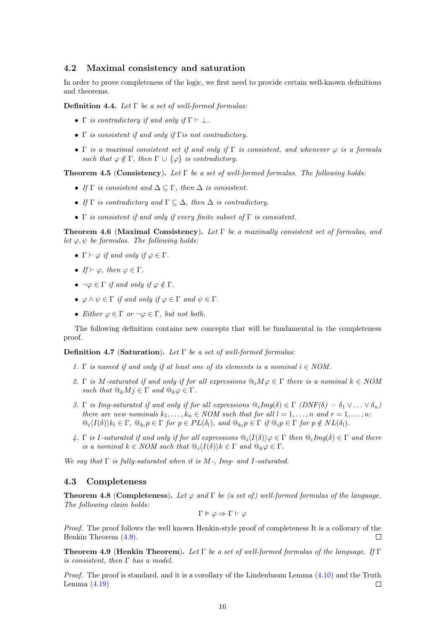### 4.2 Maximal consistency and saturation

In order to prove completeness of the logic, we first need to provide certain well-known definitions and theorems.

**Definition 4.4.** Let  $\Gamma$  be a set of well-formed formulas:

- Γ is contradictory if and only if  $\Gamma \vdash \bot$ .
- Γ is consistent if and only if  $\Gamma$  is not contradictory.
- Γ is a maximal consistent set if and only if Γ is consistent, and whenever  $\varphi$  is a formula such that  $\varphi \notin \Gamma$ , then  $\Gamma \cup \{\varphi\}$  is contradictory.

**Theorem 4.5 (Consistency).** Let  $\Gamma$  be a set of well-formed formulas. The following holds:

- If  $\Gamma$  is consistent and  $\Delta \subseteq \Gamma$ , then  $\Delta$  is consistent.
- If  $\Gamma$  is contradictory and  $\Gamma \subseteq \Delta$ , then  $\Delta$  is contradictory.
- Γ is consistent if and only if every finite subset of  $\Gamma$  is consistent.

**Theorem 4.6 (Maximal Consistency).** Let  $\Gamma$  be a maximally consistent set of formulas, and let  $\varphi, \psi$  be formulas. The following holds:

- $\Gamma \vdash \varphi$  if and only if  $\varphi \in \Gamma$ .
- If  $\vdash \varphi$ , then  $\varphi \in \Gamma$ .
- $\neg \varphi \in \Gamma$  if and only if  $\varphi \notin \Gamma$ .
- $\varphi \wedge \psi \in \Gamma$  if and only if  $\varphi \in \Gamma$  and  $\psi \in \Gamma$ .
- Either  $\varphi \in \Gamma$  or  $\neg \varphi \in \Gamma$ , but not both.

The following definition contains new concepts that will be fundamental in the completeness proof.

**Definition 4.7 (Saturation).** Let  $\Gamma$  be a set of well-formed formulas:

- 1. Γ is named if and only if at least one of its elements is a nominal  $i \in NOM$ .
- 2. Γ is M-saturated if and only if for all expressions  $\mathbb{Q}_i M \varphi \in \Gamma$  there is a nominal  $k \in NOM$ such that  $\mathbb{Q}_k M_j \in \Gamma$  and  $\mathbb{Q}_k \varphi \in \Gamma$ .
- 3. Γ is Img-saturated if and only if for all expressions  $\mathbb{Q}_i$ Img(δ)  $\in \Gamma$  (DNF(δ) =  $\delta_1 \vee \ldots \vee \delta_n$ ) there are new nominals  $k_1, \ldots, k_n \in NOM$  such that for all  $l = 1, \ldots, n$  and  $r = 1, \ldots, n$ :  $\mathbb{Q}_i \langle I(\delta) \rangle k_l \in \Gamma$ ,  $\mathbb{Q}_{k_l} p \in \Gamma$  for  $p \in PL(\delta_l)$ , and  $\mathbb{Q}_{k_l} p \in \Gamma$  if  $\mathbb{Q}_i p \in \Gamma$  for  $p \notin NL(\delta_l)$ .
- 4. Γ is I-saturated if and only if for all expressions  $\mathbb{Q}_i\langle I(\delta)\rangle\varphi\in\Gamma$  then  $\mathbb{Q}_iIm(q\delta)\in\Gamma$  and there is a nominal  $k \in NOM$  such that  $\mathbb{Q}_i\langle I(\delta)\rangle k \in \Gamma$  and  $\mathbb{Q}_k\varphi \in \Gamma$ .

We say that  $\Gamma$  is fully-saturated when it is  $M$ -, Img- and I-saturated.

#### 4.3 Completeness

**Theorem 4.8 (Completeness).** Let  $\varphi$  and  $\Gamma$  be (a set of) well-formed formulas of the language. The following claim holds:

$$
\Gamma \vDash \varphi \Rightarrow \Gamma \vdash \varphi
$$

Proof. The proof follows the well known Henkin-style proof of completeness It is a collorary of the Henkin Theorem [\(4.9\)](#page-15-0).  $\Box$ 

<span id="page-15-0"></span>**Theorem 4.9 (Henkin Theorem).** Let  $\Gamma$  be a set of well-formed formulas of the language. If  $\Gamma$ is consistent, then  $\Gamma$  has a model.

*Proof.* The proof is standard, and it is a corollary of the Lindenbaum Lemma  $(4.10)$  and the Truth Lemma [\(4.19\)](#page-18-1)  $\Box$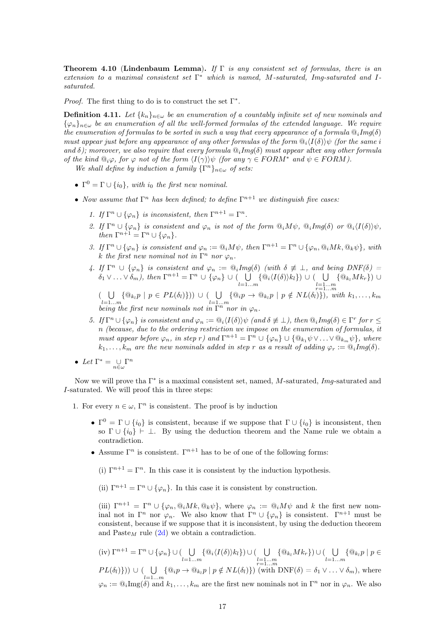<span id="page-16-0"></span>**Theorem 4.10 (Lindenbaum Lemma).** If  $\Gamma$  is any consistent set of formulas, there is an extension to a maximal consistent set Γ <sup>∗</sup> which is named, M-saturated, Img-saturated and Isaturated.

*Proof.* The first thing to do is to construct the set  $\Gamma^*$ .

**Definition 4.11.** Let  $\{k_n\}_{n\in\omega}$  be an enumeration of a countably infinite set of new nominals and  $\{\varphi_n\}_{n\in\omega}$  be an enumeration of all the well-formed formulas of the extended language. We require the enumeration of formulas to be sorted in such a way that every appearance of a formula  $\mathbb{Q}_i$ Img( $\delta$ ) must appear just before any appearance of any other formulas of the form  $\mathbb{Q}_i\langle I(\delta)\rangle\psi$  (for the same i and  $\delta$ ); moreover, we also require that every formula  $\mathbb{Q}_i$ Img( $\delta$ ) must appear after any other formula of the kind  $\mathbb{Q}_i\varphi$ , for  $\varphi$  not of the form  $\langle I(\gamma)\rangle\psi$  (for any  $\gamma \in FORM^*$  and  $\psi \in FORM$ ).

We shall define by induction a family  $\{\Gamma^n\}_{n\in\omega}$  of sets:

- $\Gamma^0 = \Gamma \cup \{i_0\}$ , with  $i_0$  the first new nominal.
- Now assume that  $\Gamma^n$  has been defined; to define  $\Gamma^{n+1}$  we distinguish five cases:
	- 1. If  $\Gamma^n \cup \{\varphi_n\}$  is inconsistent, then  $\Gamma^{n+1} = \Gamma^n$ .
	- 2. If  $\Gamma^n \cup {\varphi_n}$  is consistent and  $\varphi_n$  is not of the form  $\mathbb{Q}_i M \psi$ ,  $\mathbb{Q}_i Im g(\delta)$  or  $\mathbb{Q}_i \langle I(\delta) \rangle \psi$ , then  $\Gamma^{n+1} = \Gamma^n \cup {\varphi_n}.$
	- 3. If  $\Gamma^n \cup {\varphi_n}$  is consistent and  $\varphi_n := \mathbb{Q}_i M \psi$ , then  $\Gamma^{n+1} = \Gamma^n \cup {\varphi_n, \mathbb{Q}_i M k, \mathbb{Q}_k \psi}$ , with k the first new nominal not in  $\Gamma^n$  nor  $\varphi_n$ .
	- 4. If  $\Gamma^n \cup {\varphi_n}$  is consistent and  $\varphi_n := \mathbb{Q}_i Im g(\delta)$  (with  $\delta \neq \bot$ , and being  $DNF(\delta) =$  $\delta_1 \vee \ldots \vee \delta_m$ ), then  $\Gamma^{n+1} = \Gamma^n \cup {\varphi_n} \cup (\bigcup$  $\bigcup_{l=1...m} \{\mathbb{Q}_i \langle I(\delta) \rangle k_l \}$ ) ∪ ( $\bigcup_{l=1...}$  $\substack{l=1...m\\r=1...m}$  $\{\mathbb Q_{k_l}Mk_r\}\$  $($  U  $\bigcup_{l=1...m} \{\mathbb{Q}_{k_l} p \mid p \in PL(\delta_l)\})\cup \big(\bigcup_{l=1...}$  $\bigcup_{l=1...m} \{\mathbb{Q}_i p \to \mathbb{Q}_{k_l} p \mid p \notin NL(\delta_l)\}\)$ , with  $k_1, \ldots, k_m$ being the first new nominals not in  $\overline{\Gamma}^n$  nor in  $\varphi_n$ .
	- 5. If  $\Gamma^n \cup \{\varphi_n\}$  is consistent and  $\varphi_n := \mathbb{Q}_i \langle I(\delta) \rangle \psi$  (and  $\delta \neq \bot$ ), then  $\mathbb{Q}_i Im g(\delta) \in \Gamma^r$  for  $r \leq$ n (because, due to the ordering restriction we impose on the enumeration of formulas, it must appear before  $\varphi_n$ , in step r) and  $\Gamma^{n+1} = \Gamma^n \cup {\varphi_n} \cup {\varphi_{k_1} \psi \vee \ldots \vee \varphi_{k_m} \psi}$ , where  $k_1, \ldots, k_m$  are the new nominals added in step r as a result of adding  $\varphi_r := \mathbb{Q}_i Im g(\delta)$ .
- Let  $\Gamma^* = \bigcup_{n \in \omega} \Gamma^n$

Now we will prove tha  $\Gamma^*$  is a maximal consistent set, named, M-saturated, Img-saturated and I-saturated. We will proof this in three steps:

- 1. For every  $n \in \omega$ ,  $\Gamma^n$  is consistent. The proof is by induction
	- $\Gamma^0 = \Gamma \cup \{i_0\}$  is consistent, because if we suppose that  $\Gamma \cup \{i_0\}$  is inconsistent, then so  $\Gamma \cup \{i_0\} \vdash \bot$ . By using the deduction theorem and the Name rule we obtain a contradiction.
	- Assume  $\Gamma^n$  is consistent.  $\Gamma^{n+1}$  has to be of one of the following forms:
		- (i)  $\Gamma^{n+1} = \Gamma^n$ . In this case it is consistent by the induction hypothesis.
		- (ii)  $\Gamma^{n+1} = \Gamma^n \cup {\varphi_n}$ . In this case it is consistent by construction.

(iii)  $\Gamma^{n+1} = \Gamma^n \cup {\varphi_n, \mathbb{Q}_i M k, \mathbb{Q}_k \psi}$ , where  $\varphi_n := \mathbb{Q}_i M \psi$  and k the first new nominal not in  $\Gamma^n$  nor  $\varphi_n$ . We also know that  $\Gamma^n \cup {\varphi_n}$  is consistent.  $\Gamma^{n+1}$  must be consistent, because if we suppose that it is inconsistent, by using the deduction theorem and Paste<sub>M</sub> rule  $(2d)$  we obtain a contradiction.

(iv) 
$$
\Gamma^{n+1} = \Gamma^n \cup \{\varphi_n\} \cup (\bigcup_{l=1...m} {\omega_i \langle I(\delta) \rangle k_l} ) \cup (\bigcup_{l=1...m} {\omega_{k_l} M k_r} ) \cup (\bigcup_{l=1...m} {\omega_{k_l} p \mid p \in
$$
  
\n $PL(\delta_l) \})$ )  $\cup (\bigcup_{l=1...m} {\omega_{i} p \rightarrow \omega_{k_l} p \mid p \notin NL(\delta_l) } )$  (with  $DNF(\delta) = \delta_1 \vee ... \vee \delta_m$ ), where  
\n $\varphi_n := \omega_i Im(g(\delta)$  and  $k_1, ..., k_m$  are the first new nominals not in  $\Gamma^n$  nor in  $\varphi_n$ . We also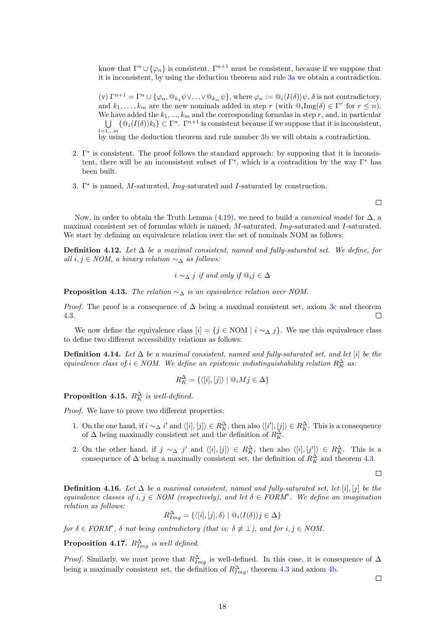know that  $\Gamma^n \cup \{\varphi_n\}$  is consistent.  $\Gamma^{n+1}$  must be consistent, because if we suppose that it is inconsistent, by using the deduction theorem and rule [3a](#page-13-0) we obtain a contradiction.

(v)  $\Gamma^{n+1} = \Gamma^n \cup {\varphi_n, \mathbb{Q}_{k_1} \psi \vee \ldots \vee \mathbb{Q}_{k_m} \psi}$ , where  $\varphi_n := \mathbb{Q}_i \langle I(\delta) \rangle \psi$ ,  $\delta$  is not contradictory, and  $k_1, \ldots, k_m$  are the new nominals added in step r (with  $\mathbb{Q}_i \text{Img}(\delta) \in \Gamma^r$  for  $r \leq n$ ). We have added the  $k_1, ..., k_m$  and the corresponding formulas in step r, and, in particular  $\bigcup \{ \mathbb{Q}_i \langle I(\delta) \rangle k_l \} \subset \Gamma^n$ .  $\Gamma^{n+1}$  is consistent because if we suppose that it is inconsistent,  $^{l=1...m}$  by using the deduction theorem and rule number [3b](#page-13-1) we will obtain a contradiction.

2. Γ ∗ is consistent. The proof follows the standard approach: by supposing that it is inconsistent, there will be an inconsistent subset of  $\Gamma^*$ , which is a contradition by the way  $\Gamma^*$  has been built.

3. Γ ∗ is named, M-saturated, Img-saturated and I-saturated by construction.

 $\Box$ 

Now, in order to obtain the Truth Lemma [\(4.19\)](#page-18-1), we need to build a *canonical model* for  $\Delta$ , a maximal consistent set of formulas which is named, M-saturated, Img-saturated and I-saturated. We start by defining an equivalence relation over the set of nominals NOM as follows:

**Definition 4.12.** Let  $\Delta$  be a maximal consistent, named and fully-saturated set. We define, for all i, j ∈ NOM, a binary relation  $\sim_{\Delta}$  as follows:

$$
i \sim_{\Delta} j
$$
 if and only if  $\mathbb{Q}_i j \in \Delta$ 

**Proposition 4.13.** The relation  $\sim_{\Delta}$  is an equivalence relation over NOM.

*Proof.* The proof is a consequence of  $\Delta$  being a maximal consistent set, axiom [3c](#page-13-6) and theorem [4.3.](#page-14-0)  $\Box$ 

We now define the equivalence class  $[i] = \{j \in \text{NOM} \mid i \sim \Delta j\}$ . We use this equivalence class to define two different accessibility relations as follows:

**Definition 4.14.** Let  $\Delta$  be a maximal consistent, named and fully-saturated set, and let [i] be the equivalence class of  $i \in NOM$ . We define an epistemic indistinguishability relation  $R_K^{\Delta}$  as:

$$
R_K^{\Delta} = \{ \langle [i], [j] \rangle \mid @_{i}M j \in \Delta \}
$$

**Proposition 4.15.**  $R_K^{\Delta}$  is well-defined.

Proof. We have to prove two different properties:

- 1. On the one hand, if  $i \sim_{\Delta} i'$  and  $\langle [i], [j] \rangle \in R_K^{\Delta}$ , then also  $\langle [i'], [j] \rangle \in R_K^{\Delta}$ . This is a consequence of  $\Delta$  being maximally consistent set and the definition of  $R_K^{\Delta}$ .
- 2. On the other hand, if  $j \sim_{\Delta} j'$  and  $\langle [i], [j] \rangle \in R_K^{\Delta}$ , then also  $\langle [i], [j'] \rangle \in R_K^{\Delta}$ . This is a consequence of  $\Delta$  being a maximally consistent set, the definition of  $R_K^{\Delta}$  and theorem [4.3.](#page-14-0)

**Definition 4.16.** Let  $\Delta$  be a maximal consistent, named and fully-saturated set, let [i], [j] be the equivalence classes of  $i, j \in NOM$  (respectively), and let  $\delta \in FORM^*$ . We define an imagination relation as follows:

$$
R_{Img}^{\Delta} = \{ \langle [i], [j], \delta \rangle \mid @_{i} \langle I(\delta) \rangle j \in \Delta \}
$$

for  $\delta \in FORM^*$ ,  $\delta$  not being contradictory (that is:  $\delta \not\equiv \bot$ ), and for  $i, j \in NOM$ .

**Proposition 4.17.**  $R_{Img}^{\Delta}$  is well defined.

*Proof.* Similarly, we must prove that  $R_{Img}^{\Delta}$  is well-defined. In this case, it is consequence of  $\Delta$ being a maximally consistent set, the definition of  $R_{Img}^{\Delta}$ , theorem [4.3](#page-14-0) and axiom [4b.](#page-13-3)

 $\Box$ 

 $\Box$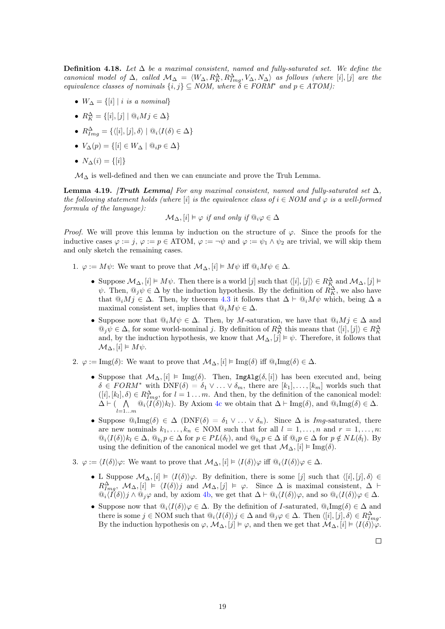**Definition 4.18.** Let  $\Delta$  be a maximal consistent, named and fully-saturated set. We define the canonical model of  $\Delta$ , called  $\mathcal{M}_{\Delta} = \langle W_{\Delta}, R_{K}^{\Delta}, R_{Img}^{\Delta}, V_{\Delta}, N_{\Delta} \rangle$  as follows (where [i], [j] are the equivalence classes of nominals  $\{i, j\} \subseteq NOM$ , where  $\delta \in FORM^*$  and  $p \in ATOM$ ):

- $W_{\Delta} = \{ [i] \mid i \text{ is a nominal} \}$
- $R_K^{\Delta} = \{ [i], [j] \mid \mathbb{Q}_i M j \in \Delta \}$
- $R_{Img}^{\Delta} = \{ \langle [i], [j], \delta \rangle \mid \mathcal{Q}_i \langle I(\delta) \in \Delta \}$
- $V_{\Delta}(p) = \{ [i] \in W_{\Delta} \mid \mathbb{Q}_i p \in \Delta \}$
- $N_{\Delta}(i) = \{ [i] \}$

 $\mathcal{M}_{\Delta}$  is well-defined and then we can enunciate and prove the Truh Lemma.

<span id="page-18-1"></span>**Lemma 4.19.** [Truth Lemma] For any maximal consistent, named and fully-saturated set  $\Delta$ , the following statement holds (where [i] is the equivalence class of  $i \in NOM$  and  $\varphi$  is a well-formed formula of the language):

$$
\mathcal{M}_{\Delta}, [i] \models \varphi \text{ if and only if } @_{i}\varphi \in \Delta
$$

*Proof.* We will prove this lemma by induction on the structure of  $\varphi$ . Since the proofs for the inductive cases  $\varphi := j$ ,  $\varphi := p \in \text{ATOM}$ ,  $\varphi := \neg \psi$  and  $\varphi := \psi_1 \wedge \psi_2$  are trivial, we will skip them and only sketch the remaining cases.

- 1.  $\varphi := M\psi$ : We want to prove that  $\mathcal{M}_{\Delta}$ ,  $[i] \models M\psi$  iff  $@iM\psi \in \Delta$ .
	- Suppose  $\mathcal{M}_{\Delta}$ ,  $[i] \models M\psi$ . Then there is a world  $[j]$  such that  $\langle [i], [j] \rangle \in R_K^{\Delta}$  and  $\mathcal{M}_{\Delta}$ ,  $[j] \models$  $\psi$ . Then,  $\mathbb{Q}_j \psi \in \Delta$  by the induction hypothesis. By the definition of  $R_K^{\Delta}$ , we also have that  $@iM \in \Delta$ . Then, by theorem [4.3](#page-14-0) it follows that  $\Delta \vdash @iM\psi$  which, being  $\Delta$  a maximal consistent set, implies that  $@i M\psi \in \Delta$ .
	- Suppose now that  $\mathbb{Q}_i M \psi \in \Delta$ . Then, by M-saturation, we have that  $\mathbb{Q}_i M j \in \Delta$  and  $\mathbb{Q}_j \psi \in \Delta$ , for some world-nominal j. By definition of  $R_K^{\Delta}$  this means that  $\langle [i], [j] \rangle \in R_K^{\Delta}$ and, by the induction hypothesis, we know that  $\mathcal{M}_{\Delta}$ ,  $[j] \models \psi$ . Therefore, it follows that  $\mathcal{M}_{\Delta}$ ,  $[i] \models M\psi$ .
- 2.  $\varphi := \text{Img}(\delta)$ : We want to prove that  $\mathcal{M}_{\Delta}$ ,  $[i] \models \text{Img}(\delta)$  iff  $\mathbb{Q}_i\text{Img}(\delta) \in \Delta$ .
	- Suppose that  $\mathcal{M}_{\Delta}$ ,  $[i] \models \text{Img}(\delta)$ . Then,  $\text{ImgAlg}(\delta, [i])$  has been executed and, being  $\delta \in FORM^*$  with  $DNF(\delta) = \delta_1 \vee ... \vee \delta_m$ , there are  $[k_1],..., [k_m]$  worlds such that  $([i], [k_l], \delta) \in R_{Img}^{\Delta}$ , for  $l = 1...m$ . And then, by the definition of the canonical model:  $\Delta \vdash (\quad \wedge$  $\bigwedge_{l=1...m} \mathbb{Q}_i \langle I(\delta) \rangle k_l$ . By Axiom [4c](#page-13-4) we obtain that  $\Delta \vdash \text{Img}(\delta)$ , and  $\mathbb{Q}_i \text{Img}(\delta) \in \Delta$ .
	- Suppose  $\mathbb{Q}_i \text{Img}(\delta) \in \Delta$  (DNF $(\delta) = \delta_1 \vee \ldots \vee \delta_n$ ). Since  $\Delta$  is *Img*-saturated, there are new nominals  $k_1, \ldots, k_n \in \text{NOM}$  such that for all  $l = 1, \ldots, n$  and  $r = 1, \ldots, n$ :  $\mathbb{Q}_i \langle I(\delta) \rangle k_l \in \Delta$ ,  $\mathbb{Q}_{k_l} p \in \Delta$  for  $p \in PL(\delta_l)$ , and  $\mathbb{Q}_{k_l} p \in \Delta$  if  $\mathbb{Q}_i p \in \Delta$  for  $p \notin NL(\delta_l)$ . By using the definition of the canonical model we get that  $\mathcal{M}_{\Delta}$ ,  $[i] \models \text{Img}(\delta)$ .

3.  $\varphi := \langle I(\delta)\rangle\varphi$ : We want to prove that  $\mathcal{M}_{\Delta}$ ,  $[i] \models \langle I(\delta)\rangle\varphi$  iff  $\mathbb{Q}_i\langle I(\delta)\rangle\varphi \in \Delta$ .

- L Suppose  $\mathcal{M}_{\Delta}$ ,  $[i] \models \langle I(\delta)\rangle\varphi$ . By definition, there is some [j] such that  $\langle [i], [j], \delta \rangle \in$  $R_{Img}^{\Delta}$ ,  $\mathcal{M}_{\Delta}$ ,  $[i] \models \langle I(\delta)\rangle j$  and  $\mathcal{M}_{\Delta}$ ,  $[j] \models \varphi$ . Since  $\Delta$  is maximal consistent,  $\Delta \vdash$  $\mathbb{Q}_i\langle I(\delta)\rangle_j \wedge \mathbb{Q}_j\varphi$  and, by axiom [4b,](#page-13-3) we get that  $\Delta \vdash \mathbb{Q}_i\langle I(\delta)\rangle\varphi$ , and so  $\mathbb{Q}_i\langle I(\delta)\rangle\varphi \in \Delta$ .
- <span id="page-18-0"></span>• Suppose now that  $\mathbb{Q}_i\langle I(\delta)\rangle\varphi\in\Delta$ . By the definition of *I*-saturated,  $\mathbb{Q}_i\text{Img}(\delta)\in\Delta$  and there is some  $j \in \text{NOM}$  such that  $\mathbb{Q}_i \langle I(\delta) \rangle j \in \Delta$  and  $\mathbb{Q}_j \varphi \in \Delta$ . Then  $\langle [i], [j], \delta \rangle \in R_{Img}^{\Delta}$ . By the induction hypothesis on  $\varphi$ ,  $\mathcal{M}_{\Delta}$ ,  $[j] \models \varphi$ , and then we get that  $\mathcal{M}_{\Delta}$ ,  $[i] \models \langle I(\delta) \rangle \varphi$ .

 $\Box$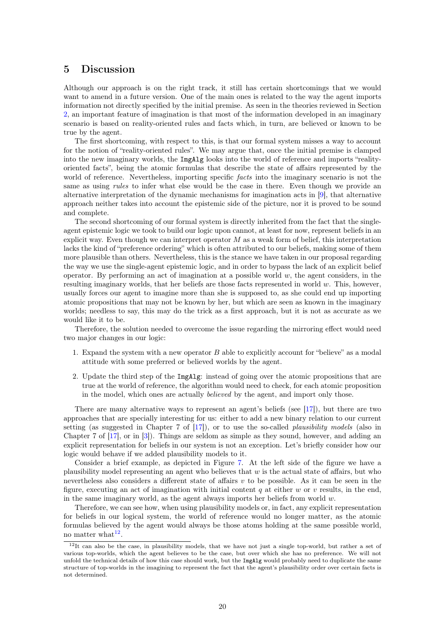## 5 Discussion

Although our approach is on the right track, it still has certain shortcomings that we would want to amend in a future version. One of the main ones is related to the way the agent imports information not directly specified by the initial premise. As seen in the theories reviewed in Section [2,](#page-1-1) an important feature of imagination is that most of the information developed in an imaginary scenario is based on reality-oriented rules and facts which, in turn, are believed or known to be true by the agent.

The first shortcoming, with respect to this, is that our formal system misses a way to account for the notion of "reality-oriented rules". We may argue that, once the initial premise is clamped into the new imaginary worlds, the ImgAlg looks into the world of reference and imports "realityoriented facts", being the atomic formulas that describe the state of affairs represented by the world of reference. Nevertheless, importing specific *facts* into the imaginary scenario is not the same as using *rules* to infer what else would be the case in there. Even though we provide an alternative interpretation of the dynamic mechanisms for imagination acts in [\[9\]](#page-21-6), that alternative approach neither takes into account the epistemic side of the picture, nor it is proved to be sound and complete.

The second shortcoming of our formal system is directly inherited from the fact that the singleagent epistemic logic we took to build our logic upon cannot, at least for now, represent beliefs in an explicit way. Even though we can interpret operator  $M$  as a weak form of belief, this interpretation lacks the kind of "preference ordering" which is often attributed to our beliefs, making some of them more plausible than others. Nevertheless, this is the stance we have taken in our proposal regarding the way we use the single-agent epistemic logic, and in order to bypass the lack of an explicit belief operator. By performing an act of imagination at a possible world  $w$ , the agent considers, in the resulting imaginary worlds, that her beliefs are those facts represented in world  $w$ . This, however, usually forces our agent to imagine more than she is supposed to, as she could end up importing atomic propositions that may not be known by her, but which are seen as known in the imaginary worlds; needless to say, this may do the trick as a first approach, but it is not as accurate as we would like it to be.

Therefore, the solution needed to overcome the issue regarding the mirroring effect would need two major changes in our logic:

- 1. Expand the system with a new operator  $B$  able to explicitly account for "believe" as a modal attitude with some preferred or believed worlds by the agent.
- 2. Update the third step of the ImgAlg: instead of going over the atomic propositions that are true at the world of reference, the algorithm would need to check, for each atomic proposition in the model, which ones are actually believed by the agent, and import only those.

There are many alternative ways to represent an agent's beliefs (see [\[17\]](#page-22-12)), but there are two approaches that are specially interesting for us: either to add a new binary relation to our current setting (as suggested in Chapter 7 of  $[17]$ ), or to use the so-called *plausibility models* (also in Chapter 7 of [\[17\]](#page-22-12), or in [\[3\]](#page-21-10)). Things are seldom as simple as they sound, however, and adding an explicit representation for beliefs in our system is not an exception. Let's briefly consider how our logic would behave if we added plausibility models to it.

Consider a brief example, as depicted in Figure [7.](#page-20-1) At the left side of the figure we have a plausibility model representing an agent who believes that  $w$  is the actual state of affairs, but who nevertheless also considers a different state of affairs  $v$  to be possible. As it can be seen in the figure, executing an act of imagination with initial content q at either w or v results, in the end, in the same imaginary world, as the agent always imports her beliefs from world  $w$ .

Therefore, we can see how, when using plausibility models or, in fact, any explicit representation for beliefs in our logical system, the world of reference would no longer matter, as the atomic formulas believed by the agent would always be those atoms holding at the same possible world, no matter what $12$ .

<span id="page-19-0"></span><sup>&</sup>lt;sup>12</sup>It can also be the case, in plausibility models, that we have not just a single top-world, but rather a set of various top-worlds, which the agent believes to be the case, but over which she has no preference. We will not unfold the technical details of how this case should work, but the ImgAlg would probably need to duplicate the same structure of top-worlds in the imagining to represent the fact that the agent's plausibility order over certain facts is not determined.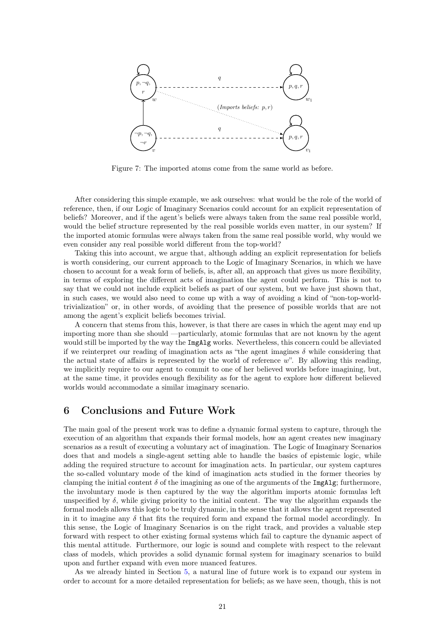

<span id="page-20-1"></span>Figure 7: The imported atoms come from the same world as before.

After considering this simple example, we ask ourselves: what would be the role of the world of reference, then, if our Logic of Imaginary Scenarios could account for an explicit representation of beliefs? Moreover, and if the agent's beliefs were always taken from the same real possible world, would the belief structure represented by the real possible worlds even matter, in our system? If the imported atomic formulas were always taken from the same real possible world, why would we even consider any real possible world different from the top-world?

Taking this into account, we argue that, although adding an explicit representation for beliefs is worth considering, our current approach to the Logic of Imaginary Scenarios, in which we have chosen to account for a weak form of beliefs, is, after all, an approach that gives us more flexibility, in terms of exploring the different acts of imagination the agent could perform. This is not to say that we could not include explicit beliefs as part of our system, but we have just shown that, in such cases, we would also need to come up with a way of avoiding a kind of "non-top-worldtrivialization" or, in other words, of avoiding that the presence of possible worlds that are not among the agent's explicit beliefs becomes trivial.

A concern that stems from this, however, is that there are cases in which the agent may end up importing more than she should —particularly, atomic formulas that are not known by the agent would still be imported by the way the ImgAlg works. Nevertheless, this concern could be alleviated if we reinterpret our reading of imagination acts as "the agent imagines  $\delta$  while considering that the actual state of affairs is represented by the world of reference  $w$ ". By allowing this reading, we implicitly require to our agent to commit to one of her believed worlds before imagining, but, at the same time, it provides enough flexibility as for the agent to explore how different believed worlds would accommodate a similar imaginary scenario.

## <span id="page-20-0"></span>6 Conclusions and Future Work

The main goal of the present work was to define a dynamic formal system to capture, through the execution of an algorithm that expands their formal models, how an agent creates new imaginary scenarios as a result of executing a voluntary act of imagination. The Logic of Imaginary Scenarios does that and models a single-agent setting able to handle the basics of epistemic logic, while adding the required structure to account for imagination acts. In particular, our system captures the so-called voluntary mode of the kind of imagination acts studied in the former theories by clamping the initial content  $\delta$  of the imagining as one of the arguments of the ImgAlg; furthermore, the involuntary mode is then captured by the way the algorithm imports atomic formulas left unspecified by  $\delta$ , while giving priority to the initial content. The way the algorithm expands the formal models allows this logic to be truly dynamic, in the sense that it allows the agent represented in it to imagine any  $\delta$  that fits the required form and expand the formal model accordingly. In this sense, the Logic of Imaginary Scenarios is on the right track, and provides a valuable step forward with respect to other existing formal systems which fail to capture the dynamic aspect of this mental attitude. Furthermore, our logic is sound and complete with respect to the relevant class of models, which provides a solid dynamic formal system for imaginary scenarios to build upon and further expand with even more nuanced features.

As we already hinted in Section [5,](#page-18-0) a natural line of future work is to expand our system in order to account for a more detailed representation for beliefs; as we have seen, though, this is not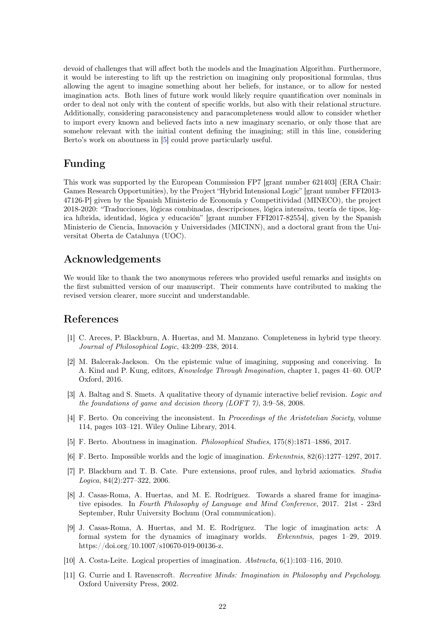devoid of challenges that will affect both the models and the Imagination Algorithm. Furthermore, it would be interesting to lift up the restriction on imagining only propositional formulas, thus allowing the agent to imagine something about her beliefs, for instance, or to allow for nested imagination acts. Both lines of future work would likely require quantification over nominals in order to deal not only with the content of specific worlds, but also with their relational structure. Additionally, considering paraconsistency and paracompleteness would allow to consider whether to import every known and believed facts into a new imaginary scenario, or only those that are somehow relevant with the initial content defining the imagining; still in this line, considering Berto's work on aboutness in [\[5\]](#page-21-4) could prove particularly useful.

## Funding

This work was supported by the European Commission FP7 [grant number 621403] (ERA Chair: Games Research Opportunities), by the Project "Hybrid Intensional Logic" [grant number FFI2013- 47126-P] given by the Spanish Ministerio de Economía y Competitividad (MINECO), the project 2018-2020: "Traducciones, lógicas combinadas, descripciones, lógica intensiva, teoría de tipos, lógica híbrida, identidad, lógica y educación" [grant number FFI2017-82554], given by the Spanish Ministerio de Ciencia, Innovación y Universidades (MICINN), and a doctoral grant from the Universitat Oberta de Catalunya (UOC).

## Acknowledgements

We would like to thank the two anonymous referees who provided useful remarks and insights on the first submitted version of our manuscript. Their comments have contributed to making the revised version clearer, more succint and understandable.

## References

- <span id="page-21-9"></span>[1] C. Areces, P. Blackburn, A. Huertas, and M. Manzano. Completeness in hybrid type theory. Journal of Philosophical Logic, 43:209–238, 2014.
- <span id="page-21-1"></span>[2] M. Balcerak-Jackson. On the epistemic value of imagining, supposing and conceiving. In A. Kind and P. Kung, editors, Knowledge Through Imagination, chapter 1, pages 41–60. OUP Oxford, 2016.
- <span id="page-21-10"></span>[3] A. Baltag and S. Smets. A qualitative theory of dynamic interactive belief revision. Logic and the foundations of game and decision theory (LOFT 7), 3:9–58, 2008.
- <span id="page-21-3"></span>[4] F. Berto. On conceiving the inconsistent. In Proceedings of the Aristotelian Society, volume 114, pages 103–121. Wiley Online Library, 2014.
- <span id="page-21-4"></span>[5] F. Berto. Aboutness in imagination. Philosophical Studies, 175(8):1871–1886, 2017.
- <span id="page-21-5"></span>[6] F. Berto. Impossible worlds and the logic of imagination. Erkenntnis, 82(6):1277–1297, 2017.
- <span id="page-21-8"></span>[7] P. Blackburn and T. B. Cate. Pure extensions, proof rules, and hybrid axiomatics. Studia Logica, 84(2):277–322, 2006.
- <span id="page-21-7"></span>[8] J. Casas-Roma, A. Huertas, and M. E. Rodríguez. Towards a shared frame for imaginative episodes. In Fourth Philosophy of Language and Mind Conference, 2017. 21st - 23rd September, Ruhr University Bochum (Oral communication).
- <span id="page-21-6"></span>[9] J. Casas-Roma, A. Huertas, and M. E. Rodríguez. The logic of imagination acts: A formal system for the dynamics of imaginary worlds. Erkenntnis, pages 1–29, 2019. https://doi.org/10.1007/s10670-019-00136-z.
- <span id="page-21-2"></span>[10] A. Costa-Leite. Logical properties of imagination. Abstracta, 6(1):103–116, 2010.
- <span id="page-21-0"></span>[11] G. Currie and I. Ravenscroft. Recreative Minds: Imagination in Philosophy and Psychology. Oxford University Press, 2002.